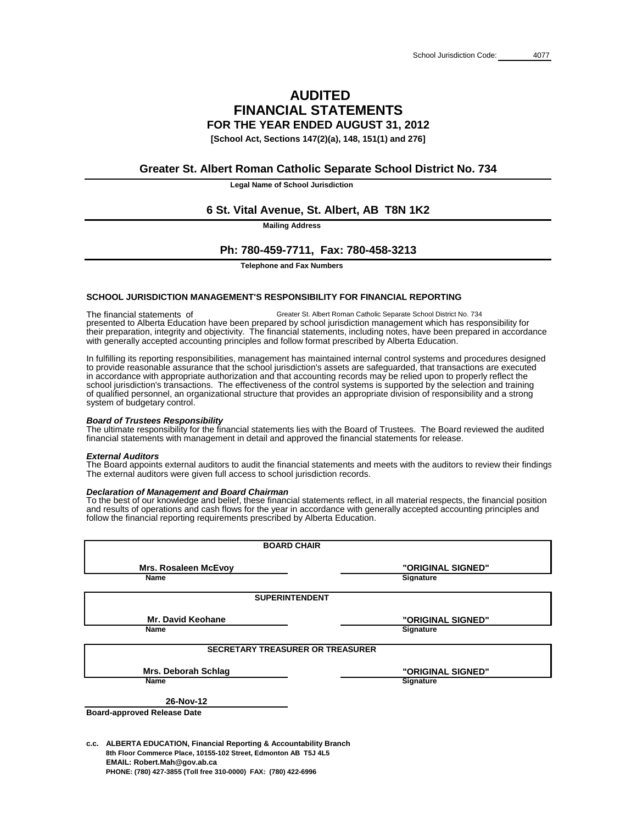## **AUDITED FINANCIAL STATEMENTS FOR THE YEAR ENDED AUGUST 31, 2012**

**[School Act, Sections 147(2)(a), 148, 151(1) and 276]**

**Legal Name of School Jurisdiction**

**Mailing Address**

**Telephone and Fax Numbers**

### **SCHOOL JURISDICTION MANAGEMENT'S RESPONSIBILITY FOR FINANCIAL REPORTING**

### *Board of Trustees Responsibility*

### *External Auditors*

### *Declaration of Management and Board Chairman*

**c.c. ALBERTA EDUCATION, Financial Reporting & Accountability Branch 8th Floor Commerce Place, 10155-102 Street, Edmonton AB T5J 4L5 EMAIL: Robert.Mah@gov.ab.ca PHONE: (780) 427-3855 (Toll free 310-0000) FAX: (780) 422-6996**

| <b>Mrs. Rosaleen McEvoy</b>             | "ORIGINAL SIGNED" |
|-----------------------------------------|-------------------|
| <b>Name</b>                             | <b>Signature</b>  |
| <b>SUPERINTENDENT</b>                   |                   |
| <b>Mr. David Keohane</b>                | "ORIGINAL SIGNED" |
| <b>Name</b>                             | <b>Signature</b>  |
| <b>SECRETARY TREASURER OR TREASURER</b> |                   |
| <b>Mrs. Deborah Schlag</b>              | "ORIGINAL SIGNED" |
| <b>Name</b>                             | <b>Signature</b>  |
| 26-Nov-12                               |                   |
| <b>Board-approved Release Date</b>      |                   |

**BOARD CHAIR**

The ultimate responsibility for the financial statements lies with the Board of Trustees. The Board reviewed the audited financial statements with management in detail and approved the financial statements for release.

The financial statements of Greater St. Albert Roman Catholic Separate School District No. 734 presented to Alberta Education have been prepared by school jurisdiction management which has responsibility for their preparation, integrity and objectivity. The financial statements, including notes, have been prepared in accordance with generally accepted accounting principles and follow format prescribed by Alberta Education.

The Board appoints external auditors to audit the financial statements and meets with the auditors to review their findings. The external auditors were given full access to school jurisdiction records.

To the best of our knowledge and belief, these financial statements reflect, in all material respects, the financial position and results of operations and cash flows for the year in accordance with generally accepted accounting principles and follow the financial reporting requirements prescribed by Alberta Education.

## **Greater St. Albert Roman Catholic Separate School District No. 734**

## **6 St. Vital Avenue, St. Albert, AB T8N 1K2**

## **Ph: 780-459-7711, Fax: 780-458-3213**

of qualified personnel, an organizational structure that provides an appropriate division of responsibility and a strong system of budgetary control. to provide reasonable assurance that the school jurisdiction's assets are safeguarded, that transactions are executed in accordance with appropriate authorization and that accounting records may be relied upon to properly reflect the school jurisdiction's transactions. The effectiveness of the control systems is supported by the selection and training In fulfilling its reporting responsibilities, management has maintained internal control systems and procedures designed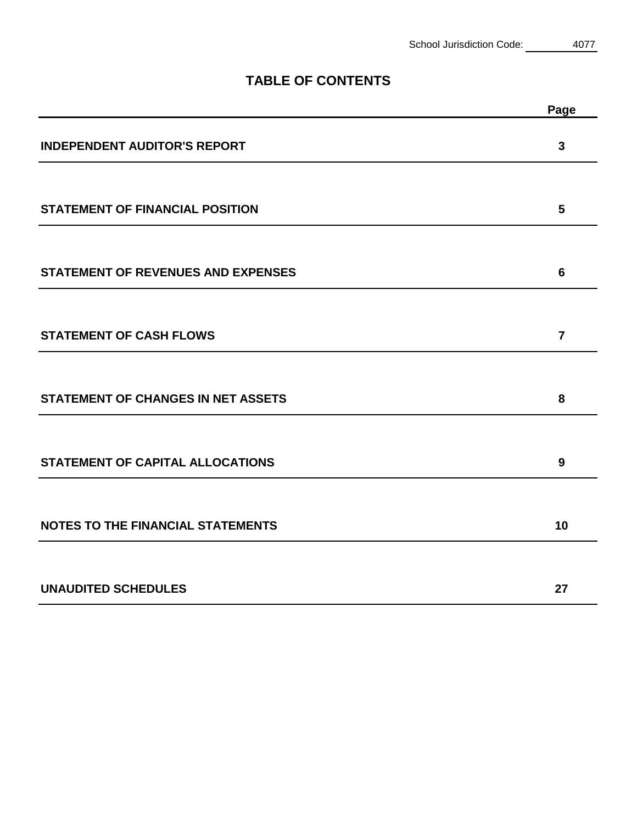## **TABLE OF CONTENTS**

|                                           | Page           |
|-------------------------------------------|----------------|
| <b>INDEPENDENT AUDITOR'S REPORT</b>       | $\mathbf{3}$   |
| <b>STATEMENT OF FINANCIAL POSITION</b>    | 5              |
| <b>STATEMENT OF REVENUES AND EXPENSES</b> | 6              |
| <b>STATEMENT OF CASH FLOWS</b>            | $\overline{7}$ |
| <b>STATEMENT OF CHANGES IN NET ASSETS</b> | 8              |
| <b>STATEMENT OF CAPITAL ALLOCATIONS</b>   | 9              |
| <b>NOTES TO THE FINANCIAL STATEMENTS</b>  | 10             |
| <b>UNAUDITED SCHEDULES</b>                | 27             |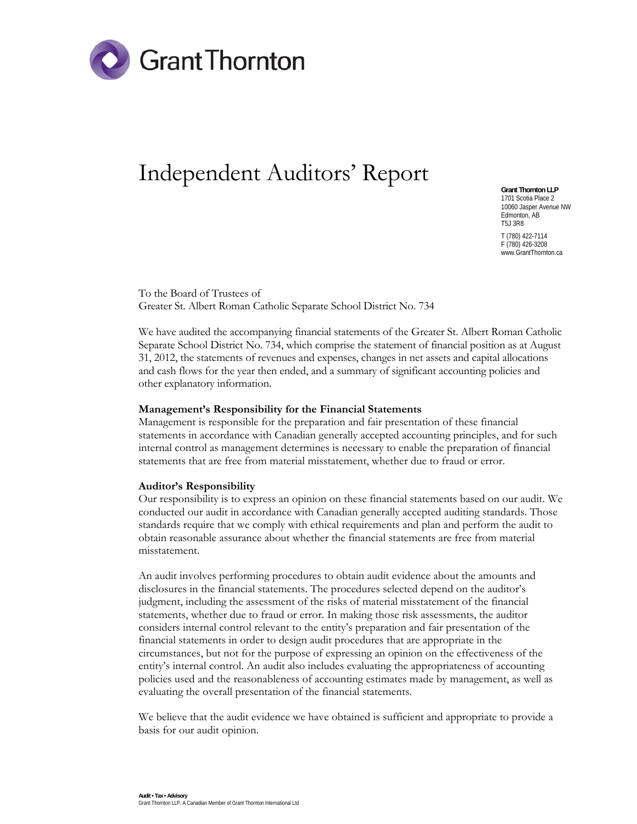

# Independent Auditors' Report

**Grant Thornton LLP**  1701 Scotia Place 2 10060 Jasper Avenue NW Edmonton, AB T5J 3R8 T (780) 422-7114 F (780) 426-3208 www.GrantThornton.ca

To the Board of Trustees of Greater St. Albert Roman Catholic Separate School District No. 734

We have audited the accompanying financial statements of the Greater St. Albert Roman Catholic Separate School District No. 734, which comprise the statement of financial position as at August 31, 2012, the statements of revenues and expenses, changes in net assets and capital allocations and cash flows for the year then ended, and a summary of significant accounting policies and other explanatory information.

#### **Management's Responsibility for the Financial Statements**

Management is responsible for the preparation and fair presentation of these financial statements in accordance with Canadian generally accepted accounting principles, and for such internal control as management determines is necessary to enable the preparation of financial statements that are free from material misstatement, whether due to fraud or error.

#### **Auditor's Responsibility**

Our responsibility is to express an opinion on these financial statements based on our audit. We conducted our audit in accordance with Canadian generally accepted auditing standards. Those standards require that we comply with ethical requirements and plan and perform the audit to obtain reasonable assurance about whether the financial statements are free from material misstatement.

An audit involves performing procedures to obtain audit evidence about the amounts and disclosures in the financial statements. The procedures selected depend on the auditor's judgment, including the assessment of the risks of material misstatement of the financial statements, whether due to fraud or error. In making those risk assessments, the auditor considers internal control relevant to the entity's preparation and fair presentation of the financial statements in order to design audit procedures that are appropriate in the circumstances, but not for the purpose of expressing an opinion on the effectiveness of the entity's internal control. An audit also includes evaluating the appropriateness of accounting policies used and the reasonableness of accounting estimates made by management, as well as evaluating the overall presentation of the financial statements.

We believe that the audit evidence we have obtained is sufficient and appropriate to provide a basis for our audit opinion.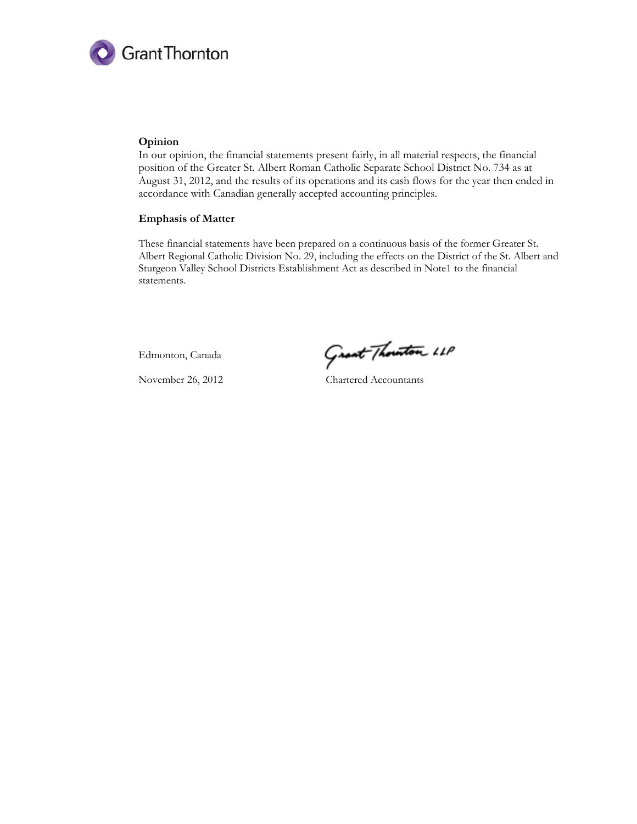

#### **Opinion**

In our opinion, the financial statements present fairly, in all material respects, the financial position of the Greater St. Albert Roman Catholic Separate School District No. 734 as at August 31, 2012, and the results of its operations and its cash flows for the year then ended in accordance with Canadian generally accepted accounting principles.

#### **Emphasis of Matter**

These financial statements have been prepared on a continuous basis of the former Greater St. Albert Regional Catholic Division No. 29, including the effects on the District of the St. Albert and Sturgeon Valley School Districts Establishment Act as described in Note1 to the financial statements.

Edmonton, Canada

Grant Thouston 11P

November 26, 2012 Chartered Accountants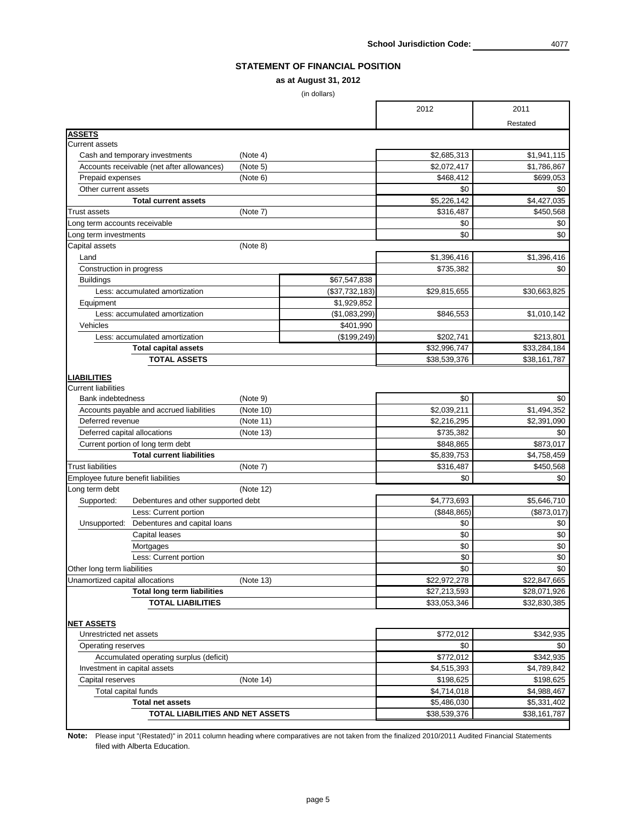School Jurisdiction Code: 4077

## **STATEMENT OF FINANCIAL POSITION**

## **as at August 31, 2012**

(in dollars)

| Restated<br><b>ASSETS</b><br><b>Current assets</b><br>\$2,685,313<br>Cash and temporary investments<br>(Note 4)<br>Accounts receivable (net after allowances)<br>\$2,072,417<br>(Note 5)<br>Prepaid expenses<br>(Note 6)<br>\$468,412<br>Other current assets<br>\$0<br><b>Total current assets</b><br>\$5,226,142<br>(Note 7)<br>\$316,487<br><b>Trust assets</b><br>\$0<br>Long term accounts receivable<br>\$0<br>Long term investments<br>(Note 8)<br>Capital assets<br>\$1,396,416<br>\$1,396,416<br>Land<br>Construction in progress<br>\$735,382<br>\$67,547,838<br><b>Buildings</b><br>Less: accumulated amortization<br>$(\$37,732,183)$<br>\$29,815,655<br>\$30,663,825<br>\$1,929,852<br>Equipment<br>(\$1,083,299)<br>\$1,010,142<br>Less: accumulated amortization<br>\$846,553<br>\$401,990<br>Vehicles<br>\$213,801<br>Less: accumulated amortization<br>(\$199,249)<br>\$202,741<br>\$33,284,184<br>\$32,996,747<br><b>Total capital assets</b><br><b>TOTAL ASSETS</b><br>\$38,539,376<br>\$38,161,787<br>LIABILITIES<br><b>Current liabilities</b><br>\$0<br>Bank indebtedness<br>(Note 9)<br>Accounts payable and accrued liabilities<br>(Note 10)<br>\$2,039,211<br>Deferred revenue<br>(Note 11)<br>\$2,216,295<br>Deferred capital allocations<br>(Note 13)<br>\$735,382<br>Current portion of long term debt<br>\$848,865<br><b>Total current liabilities</b><br>\$5,839,753<br>\$4,758,459<br><b>Trust liabilities</b><br>\$316,487<br>\$450,568<br>(Note 7)<br>Employee future benefit liabilities<br>\$0<br>(Note 12)<br>Long term debt<br>\$4,773,693<br>\$5,646,710<br>Supported:<br>Debentures and other supported debt<br>Less: Current portion<br>(\$848, 865)<br>(\$873,017)<br>Debentures and capital loans<br>\$0<br>Unsupported:<br>\$0<br><b>Capital leases</b><br>\$0<br>Mortgages<br>\$0<br>Less: Current portion<br>\$0<br>Other long term liabilities<br>\$0<br>Unamortized capital allocations<br>(Note 13)<br>\$22,972,278<br>\$22,847,665<br><b>Total long term liabilities</b><br>\$27,213,593<br>\$28,071,926<br><b>TOTAL LIABILITIES</b><br>\$33,053,346<br>\$32,830,385<br><b>NET ASSETS</b><br>\$772,012<br>\$342,935<br>Unrestricted net assets<br>\$0<br>Operating reserves<br>\$772,012<br>\$342,935<br>Accumulated operating surplus (deficit)<br>Investment in capital assets<br>\$4,515,393<br>\$4,789,842<br>\$198,625<br>\$198,625<br>(Note 14)<br>Capital reserves<br>\$4,714,018<br>\$4,988,467<br>Total capital funds<br>\$5,486,030<br><b>Total net assets</b> |  | 2012         | 2011         |
|---------------------------------------------------------------------------------------------------------------------------------------------------------------------------------------------------------------------------------------------------------------------------------------------------------------------------------------------------------------------------------------------------------------------------------------------------------------------------------------------------------------------------------------------------------------------------------------------------------------------------------------------------------------------------------------------------------------------------------------------------------------------------------------------------------------------------------------------------------------------------------------------------------------------------------------------------------------------------------------------------------------------------------------------------------------------------------------------------------------------------------------------------------------------------------------------------------------------------------------------------------------------------------------------------------------------------------------------------------------------------------------------------------------------------------------------------------------------------------------------------------------------------------------------------------------------------------------------------------------------------------------------------------------------------------------------------------------------------------------------------------------------------------------------------------------------------------------------------------------------------------------------------------------------------------------------------------------------------------------------------------------------------------------------------------------------------------------------------------------------------------------------------------------------------------------------------------------------------------------------------------------------------------------------------------------------------------------------------------------------------------------------------------------------------------------------------------------------------------------------------------------------------|--|--------------|--------------|
|                                                                                                                                                                                                                                                                                                                                                                                                                                                                                                                                                                                                                                                                                                                                                                                                                                                                                                                                                                                                                                                                                                                                                                                                                                                                                                                                                                                                                                                                                                                                                                                                                                                                                                                                                                                                                                                                                                                                                                                                                                                                                                                                                                                                                                                                                                                                                                                                                                                                                                                           |  |              |              |
|                                                                                                                                                                                                                                                                                                                                                                                                                                                                                                                                                                                                                                                                                                                                                                                                                                                                                                                                                                                                                                                                                                                                                                                                                                                                                                                                                                                                                                                                                                                                                                                                                                                                                                                                                                                                                                                                                                                                                                                                                                                                                                                                                                                                                                                                                                                                                                                                                                                                                                                           |  |              |              |
|                                                                                                                                                                                                                                                                                                                                                                                                                                                                                                                                                                                                                                                                                                                                                                                                                                                                                                                                                                                                                                                                                                                                                                                                                                                                                                                                                                                                                                                                                                                                                                                                                                                                                                                                                                                                                                                                                                                                                                                                                                                                                                                                                                                                                                                                                                                                                                                                                                                                                                                           |  |              |              |
|                                                                                                                                                                                                                                                                                                                                                                                                                                                                                                                                                                                                                                                                                                                                                                                                                                                                                                                                                                                                                                                                                                                                                                                                                                                                                                                                                                                                                                                                                                                                                                                                                                                                                                                                                                                                                                                                                                                                                                                                                                                                                                                                                                                                                                                                                                                                                                                                                                                                                                                           |  |              | \$1,941,115  |
|                                                                                                                                                                                                                                                                                                                                                                                                                                                                                                                                                                                                                                                                                                                                                                                                                                                                                                                                                                                                                                                                                                                                                                                                                                                                                                                                                                                                                                                                                                                                                                                                                                                                                                                                                                                                                                                                                                                                                                                                                                                                                                                                                                                                                                                                                                                                                                                                                                                                                                                           |  |              | \$1,786,867  |
|                                                                                                                                                                                                                                                                                                                                                                                                                                                                                                                                                                                                                                                                                                                                                                                                                                                                                                                                                                                                                                                                                                                                                                                                                                                                                                                                                                                                                                                                                                                                                                                                                                                                                                                                                                                                                                                                                                                                                                                                                                                                                                                                                                                                                                                                                                                                                                                                                                                                                                                           |  |              | \$699,053    |
|                                                                                                                                                                                                                                                                                                                                                                                                                                                                                                                                                                                                                                                                                                                                                                                                                                                                                                                                                                                                                                                                                                                                                                                                                                                                                                                                                                                                                                                                                                                                                                                                                                                                                                                                                                                                                                                                                                                                                                                                                                                                                                                                                                                                                                                                                                                                                                                                                                                                                                                           |  |              | \$0          |
|                                                                                                                                                                                                                                                                                                                                                                                                                                                                                                                                                                                                                                                                                                                                                                                                                                                                                                                                                                                                                                                                                                                                                                                                                                                                                                                                                                                                                                                                                                                                                                                                                                                                                                                                                                                                                                                                                                                                                                                                                                                                                                                                                                                                                                                                                                                                                                                                                                                                                                                           |  |              | \$4,427,035  |
|                                                                                                                                                                                                                                                                                                                                                                                                                                                                                                                                                                                                                                                                                                                                                                                                                                                                                                                                                                                                                                                                                                                                                                                                                                                                                                                                                                                                                                                                                                                                                                                                                                                                                                                                                                                                                                                                                                                                                                                                                                                                                                                                                                                                                                                                                                                                                                                                                                                                                                                           |  |              | \$450,568    |
|                                                                                                                                                                                                                                                                                                                                                                                                                                                                                                                                                                                                                                                                                                                                                                                                                                                                                                                                                                                                                                                                                                                                                                                                                                                                                                                                                                                                                                                                                                                                                                                                                                                                                                                                                                                                                                                                                                                                                                                                                                                                                                                                                                                                                                                                                                                                                                                                                                                                                                                           |  |              | \$0          |
|                                                                                                                                                                                                                                                                                                                                                                                                                                                                                                                                                                                                                                                                                                                                                                                                                                                                                                                                                                                                                                                                                                                                                                                                                                                                                                                                                                                                                                                                                                                                                                                                                                                                                                                                                                                                                                                                                                                                                                                                                                                                                                                                                                                                                                                                                                                                                                                                                                                                                                                           |  |              | \$0          |
|                                                                                                                                                                                                                                                                                                                                                                                                                                                                                                                                                                                                                                                                                                                                                                                                                                                                                                                                                                                                                                                                                                                                                                                                                                                                                                                                                                                                                                                                                                                                                                                                                                                                                                                                                                                                                                                                                                                                                                                                                                                                                                                                                                                                                                                                                                                                                                                                                                                                                                                           |  |              |              |
|                                                                                                                                                                                                                                                                                                                                                                                                                                                                                                                                                                                                                                                                                                                                                                                                                                                                                                                                                                                                                                                                                                                                                                                                                                                                                                                                                                                                                                                                                                                                                                                                                                                                                                                                                                                                                                                                                                                                                                                                                                                                                                                                                                                                                                                                                                                                                                                                                                                                                                                           |  |              |              |
|                                                                                                                                                                                                                                                                                                                                                                                                                                                                                                                                                                                                                                                                                                                                                                                                                                                                                                                                                                                                                                                                                                                                                                                                                                                                                                                                                                                                                                                                                                                                                                                                                                                                                                                                                                                                                                                                                                                                                                                                                                                                                                                                                                                                                                                                                                                                                                                                                                                                                                                           |  |              | \$0          |
|                                                                                                                                                                                                                                                                                                                                                                                                                                                                                                                                                                                                                                                                                                                                                                                                                                                                                                                                                                                                                                                                                                                                                                                                                                                                                                                                                                                                                                                                                                                                                                                                                                                                                                                                                                                                                                                                                                                                                                                                                                                                                                                                                                                                                                                                                                                                                                                                                                                                                                                           |  |              |              |
|                                                                                                                                                                                                                                                                                                                                                                                                                                                                                                                                                                                                                                                                                                                                                                                                                                                                                                                                                                                                                                                                                                                                                                                                                                                                                                                                                                                                                                                                                                                                                                                                                                                                                                                                                                                                                                                                                                                                                                                                                                                                                                                                                                                                                                                                                                                                                                                                                                                                                                                           |  |              |              |
|                                                                                                                                                                                                                                                                                                                                                                                                                                                                                                                                                                                                                                                                                                                                                                                                                                                                                                                                                                                                                                                                                                                                                                                                                                                                                                                                                                                                                                                                                                                                                                                                                                                                                                                                                                                                                                                                                                                                                                                                                                                                                                                                                                                                                                                                                                                                                                                                                                                                                                                           |  |              |              |
|                                                                                                                                                                                                                                                                                                                                                                                                                                                                                                                                                                                                                                                                                                                                                                                                                                                                                                                                                                                                                                                                                                                                                                                                                                                                                                                                                                                                                                                                                                                                                                                                                                                                                                                                                                                                                                                                                                                                                                                                                                                                                                                                                                                                                                                                                                                                                                                                                                                                                                                           |  |              |              |
|                                                                                                                                                                                                                                                                                                                                                                                                                                                                                                                                                                                                                                                                                                                                                                                                                                                                                                                                                                                                                                                                                                                                                                                                                                                                                                                                                                                                                                                                                                                                                                                                                                                                                                                                                                                                                                                                                                                                                                                                                                                                                                                                                                                                                                                                                                                                                                                                                                                                                                                           |  |              |              |
|                                                                                                                                                                                                                                                                                                                                                                                                                                                                                                                                                                                                                                                                                                                                                                                                                                                                                                                                                                                                                                                                                                                                                                                                                                                                                                                                                                                                                                                                                                                                                                                                                                                                                                                                                                                                                                                                                                                                                                                                                                                                                                                                                                                                                                                                                                                                                                                                                                                                                                                           |  |              |              |
|                                                                                                                                                                                                                                                                                                                                                                                                                                                                                                                                                                                                                                                                                                                                                                                                                                                                                                                                                                                                                                                                                                                                                                                                                                                                                                                                                                                                                                                                                                                                                                                                                                                                                                                                                                                                                                                                                                                                                                                                                                                                                                                                                                                                                                                                                                                                                                                                                                                                                                                           |  |              |              |
|                                                                                                                                                                                                                                                                                                                                                                                                                                                                                                                                                                                                                                                                                                                                                                                                                                                                                                                                                                                                                                                                                                                                                                                                                                                                                                                                                                                                                                                                                                                                                                                                                                                                                                                                                                                                                                                                                                                                                                                                                                                                                                                                                                                                                                                                                                                                                                                                                                                                                                                           |  |              |              |
|                                                                                                                                                                                                                                                                                                                                                                                                                                                                                                                                                                                                                                                                                                                                                                                                                                                                                                                                                                                                                                                                                                                                                                                                                                                                                                                                                                                                                                                                                                                                                                                                                                                                                                                                                                                                                                                                                                                                                                                                                                                                                                                                                                                                                                                                                                                                                                                                                                                                                                                           |  |              |              |
|                                                                                                                                                                                                                                                                                                                                                                                                                                                                                                                                                                                                                                                                                                                                                                                                                                                                                                                                                                                                                                                                                                                                                                                                                                                                                                                                                                                                                                                                                                                                                                                                                                                                                                                                                                                                                                                                                                                                                                                                                                                                                                                                                                                                                                                                                                                                                                                                                                                                                                                           |  |              |              |
|                                                                                                                                                                                                                                                                                                                                                                                                                                                                                                                                                                                                                                                                                                                                                                                                                                                                                                                                                                                                                                                                                                                                                                                                                                                                                                                                                                                                                                                                                                                                                                                                                                                                                                                                                                                                                                                                                                                                                                                                                                                                                                                                                                                                                                                                                                                                                                                                                                                                                                                           |  |              |              |
|                                                                                                                                                                                                                                                                                                                                                                                                                                                                                                                                                                                                                                                                                                                                                                                                                                                                                                                                                                                                                                                                                                                                                                                                                                                                                                                                                                                                                                                                                                                                                                                                                                                                                                                                                                                                                                                                                                                                                                                                                                                                                                                                                                                                                                                                                                                                                                                                                                                                                                                           |  |              | \$0          |
|                                                                                                                                                                                                                                                                                                                                                                                                                                                                                                                                                                                                                                                                                                                                                                                                                                                                                                                                                                                                                                                                                                                                                                                                                                                                                                                                                                                                                                                                                                                                                                                                                                                                                                                                                                                                                                                                                                                                                                                                                                                                                                                                                                                                                                                                                                                                                                                                                                                                                                                           |  |              | \$1,494,352  |
|                                                                                                                                                                                                                                                                                                                                                                                                                                                                                                                                                                                                                                                                                                                                                                                                                                                                                                                                                                                                                                                                                                                                                                                                                                                                                                                                                                                                                                                                                                                                                                                                                                                                                                                                                                                                                                                                                                                                                                                                                                                                                                                                                                                                                                                                                                                                                                                                                                                                                                                           |  |              | \$2,391,090  |
|                                                                                                                                                                                                                                                                                                                                                                                                                                                                                                                                                                                                                                                                                                                                                                                                                                                                                                                                                                                                                                                                                                                                                                                                                                                                                                                                                                                                                                                                                                                                                                                                                                                                                                                                                                                                                                                                                                                                                                                                                                                                                                                                                                                                                                                                                                                                                                                                                                                                                                                           |  |              | \$0          |
|                                                                                                                                                                                                                                                                                                                                                                                                                                                                                                                                                                                                                                                                                                                                                                                                                                                                                                                                                                                                                                                                                                                                                                                                                                                                                                                                                                                                                                                                                                                                                                                                                                                                                                                                                                                                                                                                                                                                                                                                                                                                                                                                                                                                                                                                                                                                                                                                                                                                                                                           |  |              | \$873,017    |
|                                                                                                                                                                                                                                                                                                                                                                                                                                                                                                                                                                                                                                                                                                                                                                                                                                                                                                                                                                                                                                                                                                                                                                                                                                                                                                                                                                                                                                                                                                                                                                                                                                                                                                                                                                                                                                                                                                                                                                                                                                                                                                                                                                                                                                                                                                                                                                                                                                                                                                                           |  |              |              |
|                                                                                                                                                                                                                                                                                                                                                                                                                                                                                                                                                                                                                                                                                                                                                                                                                                                                                                                                                                                                                                                                                                                                                                                                                                                                                                                                                                                                                                                                                                                                                                                                                                                                                                                                                                                                                                                                                                                                                                                                                                                                                                                                                                                                                                                                                                                                                                                                                                                                                                                           |  |              |              |
|                                                                                                                                                                                                                                                                                                                                                                                                                                                                                                                                                                                                                                                                                                                                                                                                                                                                                                                                                                                                                                                                                                                                                                                                                                                                                                                                                                                                                                                                                                                                                                                                                                                                                                                                                                                                                                                                                                                                                                                                                                                                                                                                                                                                                                                                                                                                                                                                                                                                                                                           |  |              | \$0          |
|                                                                                                                                                                                                                                                                                                                                                                                                                                                                                                                                                                                                                                                                                                                                                                                                                                                                                                                                                                                                                                                                                                                                                                                                                                                                                                                                                                                                                                                                                                                                                                                                                                                                                                                                                                                                                                                                                                                                                                                                                                                                                                                                                                                                                                                                                                                                                                                                                                                                                                                           |  |              |              |
|                                                                                                                                                                                                                                                                                                                                                                                                                                                                                                                                                                                                                                                                                                                                                                                                                                                                                                                                                                                                                                                                                                                                                                                                                                                                                                                                                                                                                                                                                                                                                                                                                                                                                                                                                                                                                                                                                                                                                                                                                                                                                                                                                                                                                                                                                                                                                                                                                                                                                                                           |  |              |              |
|                                                                                                                                                                                                                                                                                                                                                                                                                                                                                                                                                                                                                                                                                                                                                                                                                                                                                                                                                                                                                                                                                                                                                                                                                                                                                                                                                                                                                                                                                                                                                                                                                                                                                                                                                                                                                                                                                                                                                                                                                                                                                                                                                                                                                                                                                                                                                                                                                                                                                                                           |  |              |              |
|                                                                                                                                                                                                                                                                                                                                                                                                                                                                                                                                                                                                                                                                                                                                                                                                                                                                                                                                                                                                                                                                                                                                                                                                                                                                                                                                                                                                                                                                                                                                                                                                                                                                                                                                                                                                                                                                                                                                                                                                                                                                                                                                                                                                                                                                                                                                                                                                                                                                                                                           |  |              | \$0          |
|                                                                                                                                                                                                                                                                                                                                                                                                                                                                                                                                                                                                                                                                                                                                                                                                                                                                                                                                                                                                                                                                                                                                                                                                                                                                                                                                                                                                                                                                                                                                                                                                                                                                                                                                                                                                                                                                                                                                                                                                                                                                                                                                                                                                                                                                                                                                                                                                                                                                                                                           |  |              | \$0          |
|                                                                                                                                                                                                                                                                                                                                                                                                                                                                                                                                                                                                                                                                                                                                                                                                                                                                                                                                                                                                                                                                                                                                                                                                                                                                                                                                                                                                                                                                                                                                                                                                                                                                                                                                                                                                                                                                                                                                                                                                                                                                                                                                                                                                                                                                                                                                                                                                                                                                                                                           |  |              | \$0          |
|                                                                                                                                                                                                                                                                                                                                                                                                                                                                                                                                                                                                                                                                                                                                                                                                                                                                                                                                                                                                                                                                                                                                                                                                                                                                                                                                                                                                                                                                                                                                                                                                                                                                                                                                                                                                                                                                                                                                                                                                                                                                                                                                                                                                                                                                                                                                                                                                                                                                                                                           |  |              | \$0          |
|                                                                                                                                                                                                                                                                                                                                                                                                                                                                                                                                                                                                                                                                                                                                                                                                                                                                                                                                                                                                                                                                                                                                                                                                                                                                                                                                                                                                                                                                                                                                                                                                                                                                                                                                                                                                                                                                                                                                                                                                                                                                                                                                                                                                                                                                                                                                                                                                                                                                                                                           |  |              |              |
|                                                                                                                                                                                                                                                                                                                                                                                                                                                                                                                                                                                                                                                                                                                                                                                                                                                                                                                                                                                                                                                                                                                                                                                                                                                                                                                                                                                                                                                                                                                                                                                                                                                                                                                                                                                                                                                                                                                                                                                                                                                                                                                                                                                                                                                                                                                                                                                                                                                                                                                           |  |              |              |
|                                                                                                                                                                                                                                                                                                                                                                                                                                                                                                                                                                                                                                                                                                                                                                                                                                                                                                                                                                                                                                                                                                                                                                                                                                                                                                                                                                                                                                                                                                                                                                                                                                                                                                                                                                                                                                                                                                                                                                                                                                                                                                                                                                                                                                                                                                                                                                                                                                                                                                                           |  |              |              |
|                                                                                                                                                                                                                                                                                                                                                                                                                                                                                                                                                                                                                                                                                                                                                                                                                                                                                                                                                                                                                                                                                                                                                                                                                                                                                                                                                                                                                                                                                                                                                                                                                                                                                                                                                                                                                                                                                                                                                                                                                                                                                                                                                                                                                                                                                                                                                                                                                                                                                                                           |  |              |              |
|                                                                                                                                                                                                                                                                                                                                                                                                                                                                                                                                                                                                                                                                                                                                                                                                                                                                                                                                                                                                                                                                                                                                                                                                                                                                                                                                                                                                                                                                                                                                                                                                                                                                                                                                                                                                                                                                                                                                                                                                                                                                                                                                                                                                                                                                                                                                                                                                                                                                                                                           |  |              |              |
|                                                                                                                                                                                                                                                                                                                                                                                                                                                                                                                                                                                                                                                                                                                                                                                                                                                                                                                                                                                                                                                                                                                                                                                                                                                                                                                                                                                                                                                                                                                                                                                                                                                                                                                                                                                                                                                                                                                                                                                                                                                                                                                                                                                                                                                                                                                                                                                                                                                                                                                           |  |              |              |
|                                                                                                                                                                                                                                                                                                                                                                                                                                                                                                                                                                                                                                                                                                                                                                                                                                                                                                                                                                                                                                                                                                                                                                                                                                                                                                                                                                                                                                                                                                                                                                                                                                                                                                                                                                                                                                                                                                                                                                                                                                                                                                                                                                                                                                                                                                                                                                                                                                                                                                                           |  |              |              |
|                                                                                                                                                                                                                                                                                                                                                                                                                                                                                                                                                                                                                                                                                                                                                                                                                                                                                                                                                                                                                                                                                                                                                                                                                                                                                                                                                                                                                                                                                                                                                                                                                                                                                                                                                                                                                                                                                                                                                                                                                                                                                                                                                                                                                                                                                                                                                                                                                                                                                                                           |  |              | \$0          |
|                                                                                                                                                                                                                                                                                                                                                                                                                                                                                                                                                                                                                                                                                                                                                                                                                                                                                                                                                                                                                                                                                                                                                                                                                                                                                                                                                                                                                                                                                                                                                                                                                                                                                                                                                                                                                                                                                                                                                                                                                                                                                                                                                                                                                                                                                                                                                                                                                                                                                                                           |  |              |              |
|                                                                                                                                                                                                                                                                                                                                                                                                                                                                                                                                                                                                                                                                                                                                                                                                                                                                                                                                                                                                                                                                                                                                                                                                                                                                                                                                                                                                                                                                                                                                                                                                                                                                                                                                                                                                                                                                                                                                                                                                                                                                                                                                                                                                                                                                                                                                                                                                                                                                                                                           |  |              |              |
|                                                                                                                                                                                                                                                                                                                                                                                                                                                                                                                                                                                                                                                                                                                                                                                                                                                                                                                                                                                                                                                                                                                                                                                                                                                                                                                                                                                                                                                                                                                                                                                                                                                                                                                                                                                                                                                                                                                                                                                                                                                                                                                                                                                                                                                                                                                                                                                                                                                                                                                           |  |              |              |
|                                                                                                                                                                                                                                                                                                                                                                                                                                                                                                                                                                                                                                                                                                                                                                                                                                                                                                                                                                                                                                                                                                                                                                                                                                                                                                                                                                                                                                                                                                                                                                                                                                                                                                                                                                                                                                                                                                                                                                                                                                                                                                                                                                                                                                                                                                                                                                                                                                                                                                                           |  |              |              |
|                                                                                                                                                                                                                                                                                                                                                                                                                                                                                                                                                                                                                                                                                                                                                                                                                                                                                                                                                                                                                                                                                                                                                                                                                                                                                                                                                                                                                                                                                                                                                                                                                                                                                                                                                                                                                                                                                                                                                                                                                                                                                                                                                                                                                                                                                                                                                                                                                                                                                                                           |  |              |              |
|                                                                                                                                                                                                                                                                                                                                                                                                                                                                                                                                                                                                                                                                                                                                                                                                                                                                                                                                                                                                                                                                                                                                                                                                                                                                                                                                                                                                                                                                                                                                                                                                                                                                                                                                                                                                                                                                                                                                                                                                                                                                                                                                                                                                                                                                                                                                                                                                                                                                                                                           |  |              | \$5,331,402  |
| <b>TOTAL LIABILITIES AND NET ASSETS</b>                                                                                                                                                                                                                                                                                                                                                                                                                                                                                                                                                                                                                                                                                                                                                                                                                                                                                                                                                                                                                                                                                                                                                                                                                                                                                                                                                                                                                                                                                                                                                                                                                                                                                                                                                                                                                                                                                                                                                                                                                                                                                                                                                                                                                                                                                                                                                                                                                                                                                   |  | \$38,539,376 | \$38,161,787 |

**Note:** Please input "(Restated)" in 2011 column heading where comparatives are not taken from the finalized 2010/2011 Audited Financial Statements filed with Alberta Education.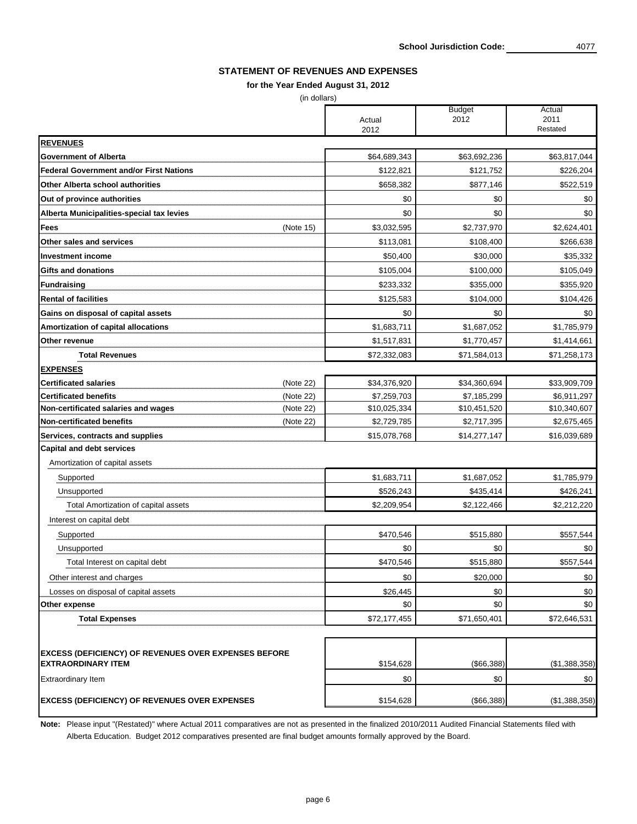Note: Please input "(Restated)" where Actual 2011 comparatives are not as presented in the finalized 2010/2011 Audited Financial Statements filed with Alberta Education. Budget 2012 comparatives presented are final budget amounts formally approved by the Board.

| 2012<br>2011<br>Actual<br>Restated<br>2012<br><b>REVENUES</b><br><b>Government of Alberta</b><br>\$64,689,343<br>\$63,692,236<br><b>Federal Government and/or First Nations</b><br>\$121,752<br>\$122,821<br><b>Other Alberta school authorities</b><br>\$658,382<br>\$877,146<br>\$0<br>\$0<br>Out of province authorities<br>Alberta Municipalities-special tax levies<br>\$0<br>\$0<br>\$2,737,970<br>(Note 15)<br>\$3,032,595<br><b>Fees</b><br>\$108,400<br><b>Other sales and services</b><br>\$113,081<br>\$30,000<br><b>Investment income</b><br>\$50,400<br>\$100,000<br><b>Gifts and donations</b><br>\$105,004<br>\$233,332<br>\$355,000<br>Fundraising<br><b>Rental of facilities</b><br>\$125,583<br>\$104,000<br>Gains on disposal of capital assets<br>\$0<br>\$0<br>\$1,687,052<br>\$1,683,711<br><b>Amortization of capital allocations</b><br>\$1,517,831<br>\$1,770,457<br>Other revenue<br>\$72,332,083<br>\$71,584,013<br><b>Total Revenues</b><br><b>EXPENSES</b><br>\$34,376,920<br>\$34,360,694<br><b>Certificated salaries</b><br>(Note 22)<br><b>Certificated benefits</b><br>(Note 22)<br>\$7,259,703<br>\$7,185,299<br>Non-certificated salaries and wages<br>\$10,025,334<br>\$10,451,520<br>(Note 22)<br>Non-certificated benefits<br>\$2,717,395<br>(Note 22)<br>\$2,729,785<br>\$15,078,768<br>\$14,277,147<br>Services, contracts and supplies<br><b>Capital and debt services</b><br>Amortization of capital assets<br>\$1,683,711<br>\$1,687,052<br>Supported<br>\$435,414<br>\$526,243<br>Unsupported<br>\$2,209,954<br>\$2,122,466<br>Total Amortization of capital assets<br>Interest on capital debt<br>\$515,880<br>\$470,546<br>Supported<br>\$0<br>\$0<br>Unsupported<br>\$470,546<br>\$515,880<br>Total Interest on capital debt<br>\$0<br>\$20,000<br>Other interest and charges<br>\$0<br>\$26,445<br>Losses on disposal of capital assets<br>\$0<br>\$0<br>Other expense<br>\$71,650,401<br><b>Total Expenses</b><br>\$72,177,455 | 11122121 | <b>Budget</b> | Actual        |
|---------------------------------------------------------------------------------------------------------------------------------------------------------------------------------------------------------------------------------------------------------------------------------------------------------------------------------------------------------------------------------------------------------------------------------------------------------------------------------------------------------------------------------------------------------------------------------------------------------------------------------------------------------------------------------------------------------------------------------------------------------------------------------------------------------------------------------------------------------------------------------------------------------------------------------------------------------------------------------------------------------------------------------------------------------------------------------------------------------------------------------------------------------------------------------------------------------------------------------------------------------------------------------------------------------------------------------------------------------------------------------------------------------------------------------------------------------------------------------------------------------------------------------------------------------------------------------------------------------------------------------------------------------------------------------------------------------------------------------------------------------------------------------------------------------------------------------------------------------------------------------------------------------------------------------------------------------------------------------|----------|---------------|---------------|
|                                                                                                                                                                                                                                                                                                                                                                                                                                                                                                                                                                                                                                                                                                                                                                                                                                                                                                                                                                                                                                                                                                                                                                                                                                                                                                                                                                                                                                                                                                                                                                                                                                                                                                                                                                                                                                                                                                                                                                                 |          |               |               |
|                                                                                                                                                                                                                                                                                                                                                                                                                                                                                                                                                                                                                                                                                                                                                                                                                                                                                                                                                                                                                                                                                                                                                                                                                                                                                                                                                                                                                                                                                                                                                                                                                                                                                                                                                                                                                                                                                                                                                                                 |          |               |               |
|                                                                                                                                                                                                                                                                                                                                                                                                                                                                                                                                                                                                                                                                                                                                                                                                                                                                                                                                                                                                                                                                                                                                                                                                                                                                                                                                                                                                                                                                                                                                                                                                                                                                                                                                                                                                                                                                                                                                                                                 |          |               |               |
|                                                                                                                                                                                                                                                                                                                                                                                                                                                                                                                                                                                                                                                                                                                                                                                                                                                                                                                                                                                                                                                                                                                                                                                                                                                                                                                                                                                                                                                                                                                                                                                                                                                                                                                                                                                                                                                                                                                                                                                 |          |               | \$63,817,044  |
|                                                                                                                                                                                                                                                                                                                                                                                                                                                                                                                                                                                                                                                                                                                                                                                                                                                                                                                                                                                                                                                                                                                                                                                                                                                                                                                                                                                                                                                                                                                                                                                                                                                                                                                                                                                                                                                                                                                                                                                 |          |               | \$226,204     |
|                                                                                                                                                                                                                                                                                                                                                                                                                                                                                                                                                                                                                                                                                                                                                                                                                                                                                                                                                                                                                                                                                                                                                                                                                                                                                                                                                                                                                                                                                                                                                                                                                                                                                                                                                                                                                                                                                                                                                                                 |          |               | \$522,519     |
|                                                                                                                                                                                                                                                                                                                                                                                                                                                                                                                                                                                                                                                                                                                                                                                                                                                                                                                                                                                                                                                                                                                                                                                                                                                                                                                                                                                                                                                                                                                                                                                                                                                                                                                                                                                                                                                                                                                                                                                 |          |               | \$0           |
|                                                                                                                                                                                                                                                                                                                                                                                                                                                                                                                                                                                                                                                                                                                                                                                                                                                                                                                                                                                                                                                                                                                                                                                                                                                                                                                                                                                                                                                                                                                                                                                                                                                                                                                                                                                                                                                                                                                                                                                 |          |               | \$0           |
|                                                                                                                                                                                                                                                                                                                                                                                                                                                                                                                                                                                                                                                                                                                                                                                                                                                                                                                                                                                                                                                                                                                                                                                                                                                                                                                                                                                                                                                                                                                                                                                                                                                                                                                                                                                                                                                                                                                                                                                 |          |               | \$2,624,401   |
|                                                                                                                                                                                                                                                                                                                                                                                                                                                                                                                                                                                                                                                                                                                                                                                                                                                                                                                                                                                                                                                                                                                                                                                                                                                                                                                                                                                                                                                                                                                                                                                                                                                                                                                                                                                                                                                                                                                                                                                 |          |               | \$266,638     |
|                                                                                                                                                                                                                                                                                                                                                                                                                                                                                                                                                                                                                                                                                                                                                                                                                                                                                                                                                                                                                                                                                                                                                                                                                                                                                                                                                                                                                                                                                                                                                                                                                                                                                                                                                                                                                                                                                                                                                                                 |          |               | \$35,332      |
|                                                                                                                                                                                                                                                                                                                                                                                                                                                                                                                                                                                                                                                                                                                                                                                                                                                                                                                                                                                                                                                                                                                                                                                                                                                                                                                                                                                                                                                                                                                                                                                                                                                                                                                                                                                                                                                                                                                                                                                 |          |               | \$105,049     |
|                                                                                                                                                                                                                                                                                                                                                                                                                                                                                                                                                                                                                                                                                                                                                                                                                                                                                                                                                                                                                                                                                                                                                                                                                                                                                                                                                                                                                                                                                                                                                                                                                                                                                                                                                                                                                                                                                                                                                                                 |          |               | \$355,920     |
|                                                                                                                                                                                                                                                                                                                                                                                                                                                                                                                                                                                                                                                                                                                                                                                                                                                                                                                                                                                                                                                                                                                                                                                                                                                                                                                                                                                                                                                                                                                                                                                                                                                                                                                                                                                                                                                                                                                                                                                 |          |               | \$104,426     |
|                                                                                                                                                                                                                                                                                                                                                                                                                                                                                                                                                                                                                                                                                                                                                                                                                                                                                                                                                                                                                                                                                                                                                                                                                                                                                                                                                                                                                                                                                                                                                                                                                                                                                                                                                                                                                                                                                                                                                                                 |          |               | \$0           |
|                                                                                                                                                                                                                                                                                                                                                                                                                                                                                                                                                                                                                                                                                                                                                                                                                                                                                                                                                                                                                                                                                                                                                                                                                                                                                                                                                                                                                                                                                                                                                                                                                                                                                                                                                                                                                                                                                                                                                                                 |          |               | \$1,785,979   |
|                                                                                                                                                                                                                                                                                                                                                                                                                                                                                                                                                                                                                                                                                                                                                                                                                                                                                                                                                                                                                                                                                                                                                                                                                                                                                                                                                                                                                                                                                                                                                                                                                                                                                                                                                                                                                                                                                                                                                                                 |          |               | \$1,414,661   |
|                                                                                                                                                                                                                                                                                                                                                                                                                                                                                                                                                                                                                                                                                                                                                                                                                                                                                                                                                                                                                                                                                                                                                                                                                                                                                                                                                                                                                                                                                                                                                                                                                                                                                                                                                                                                                                                                                                                                                                                 |          |               | \$71,258,173  |
|                                                                                                                                                                                                                                                                                                                                                                                                                                                                                                                                                                                                                                                                                                                                                                                                                                                                                                                                                                                                                                                                                                                                                                                                                                                                                                                                                                                                                                                                                                                                                                                                                                                                                                                                                                                                                                                                                                                                                                                 |          |               |               |
|                                                                                                                                                                                                                                                                                                                                                                                                                                                                                                                                                                                                                                                                                                                                                                                                                                                                                                                                                                                                                                                                                                                                                                                                                                                                                                                                                                                                                                                                                                                                                                                                                                                                                                                                                                                                                                                                                                                                                                                 |          |               | \$33,909,709  |
|                                                                                                                                                                                                                                                                                                                                                                                                                                                                                                                                                                                                                                                                                                                                                                                                                                                                                                                                                                                                                                                                                                                                                                                                                                                                                                                                                                                                                                                                                                                                                                                                                                                                                                                                                                                                                                                                                                                                                                                 |          |               | \$6,911,297   |
|                                                                                                                                                                                                                                                                                                                                                                                                                                                                                                                                                                                                                                                                                                                                                                                                                                                                                                                                                                                                                                                                                                                                                                                                                                                                                                                                                                                                                                                                                                                                                                                                                                                                                                                                                                                                                                                                                                                                                                                 |          |               | \$10,340,607  |
|                                                                                                                                                                                                                                                                                                                                                                                                                                                                                                                                                                                                                                                                                                                                                                                                                                                                                                                                                                                                                                                                                                                                                                                                                                                                                                                                                                                                                                                                                                                                                                                                                                                                                                                                                                                                                                                                                                                                                                                 |          |               | \$2,675,465   |
|                                                                                                                                                                                                                                                                                                                                                                                                                                                                                                                                                                                                                                                                                                                                                                                                                                                                                                                                                                                                                                                                                                                                                                                                                                                                                                                                                                                                                                                                                                                                                                                                                                                                                                                                                                                                                                                                                                                                                                                 |          |               | \$16,039,689  |
|                                                                                                                                                                                                                                                                                                                                                                                                                                                                                                                                                                                                                                                                                                                                                                                                                                                                                                                                                                                                                                                                                                                                                                                                                                                                                                                                                                                                                                                                                                                                                                                                                                                                                                                                                                                                                                                                                                                                                                                 |          |               |               |
|                                                                                                                                                                                                                                                                                                                                                                                                                                                                                                                                                                                                                                                                                                                                                                                                                                                                                                                                                                                                                                                                                                                                                                                                                                                                                                                                                                                                                                                                                                                                                                                                                                                                                                                                                                                                                                                                                                                                                                                 |          |               |               |
|                                                                                                                                                                                                                                                                                                                                                                                                                                                                                                                                                                                                                                                                                                                                                                                                                                                                                                                                                                                                                                                                                                                                                                                                                                                                                                                                                                                                                                                                                                                                                                                                                                                                                                                                                                                                                                                                                                                                                                                 |          |               | \$1,785,979   |
|                                                                                                                                                                                                                                                                                                                                                                                                                                                                                                                                                                                                                                                                                                                                                                                                                                                                                                                                                                                                                                                                                                                                                                                                                                                                                                                                                                                                                                                                                                                                                                                                                                                                                                                                                                                                                                                                                                                                                                                 |          |               | \$426,241     |
|                                                                                                                                                                                                                                                                                                                                                                                                                                                                                                                                                                                                                                                                                                                                                                                                                                                                                                                                                                                                                                                                                                                                                                                                                                                                                                                                                                                                                                                                                                                                                                                                                                                                                                                                                                                                                                                                                                                                                                                 |          |               | \$2,212,220   |
|                                                                                                                                                                                                                                                                                                                                                                                                                                                                                                                                                                                                                                                                                                                                                                                                                                                                                                                                                                                                                                                                                                                                                                                                                                                                                                                                                                                                                                                                                                                                                                                                                                                                                                                                                                                                                                                                                                                                                                                 |          |               |               |
|                                                                                                                                                                                                                                                                                                                                                                                                                                                                                                                                                                                                                                                                                                                                                                                                                                                                                                                                                                                                                                                                                                                                                                                                                                                                                                                                                                                                                                                                                                                                                                                                                                                                                                                                                                                                                                                                                                                                                                                 |          |               | \$557,544     |
|                                                                                                                                                                                                                                                                                                                                                                                                                                                                                                                                                                                                                                                                                                                                                                                                                                                                                                                                                                                                                                                                                                                                                                                                                                                                                                                                                                                                                                                                                                                                                                                                                                                                                                                                                                                                                                                                                                                                                                                 |          |               | \$0           |
|                                                                                                                                                                                                                                                                                                                                                                                                                                                                                                                                                                                                                                                                                                                                                                                                                                                                                                                                                                                                                                                                                                                                                                                                                                                                                                                                                                                                                                                                                                                                                                                                                                                                                                                                                                                                                                                                                                                                                                                 |          |               | \$557,544     |
|                                                                                                                                                                                                                                                                                                                                                                                                                                                                                                                                                                                                                                                                                                                                                                                                                                                                                                                                                                                                                                                                                                                                                                                                                                                                                                                                                                                                                                                                                                                                                                                                                                                                                                                                                                                                                                                                                                                                                                                 |          |               | \$0           |
|                                                                                                                                                                                                                                                                                                                                                                                                                                                                                                                                                                                                                                                                                                                                                                                                                                                                                                                                                                                                                                                                                                                                                                                                                                                                                                                                                                                                                                                                                                                                                                                                                                                                                                                                                                                                                                                                                                                                                                                 |          |               | \$0           |
|                                                                                                                                                                                                                                                                                                                                                                                                                                                                                                                                                                                                                                                                                                                                                                                                                                                                                                                                                                                                                                                                                                                                                                                                                                                                                                                                                                                                                                                                                                                                                                                                                                                                                                                                                                                                                                                                                                                                                                                 |          |               | \$0           |
|                                                                                                                                                                                                                                                                                                                                                                                                                                                                                                                                                                                                                                                                                                                                                                                                                                                                                                                                                                                                                                                                                                                                                                                                                                                                                                                                                                                                                                                                                                                                                                                                                                                                                                                                                                                                                                                                                                                                                                                 |          |               | \$72,646,531  |
|                                                                                                                                                                                                                                                                                                                                                                                                                                                                                                                                                                                                                                                                                                                                                                                                                                                                                                                                                                                                                                                                                                                                                                                                                                                                                                                                                                                                                                                                                                                                                                                                                                                                                                                                                                                                                                                                                                                                                                                 |          |               |               |
| <b>EXCESS (DEFICIENCY) OF REVENUES OVER EXPENSES BEFORE</b>                                                                                                                                                                                                                                                                                                                                                                                                                                                                                                                                                                                                                                                                                                                                                                                                                                                                                                                                                                                                                                                                                                                                                                                                                                                                                                                                                                                                                                                                                                                                                                                                                                                                                                                                                                                                                                                                                                                     |          |               |               |
| <b>EXTRAORDINARY ITEM</b><br>\$154,628<br>$($ \$66,388) $ $                                                                                                                                                                                                                                                                                                                                                                                                                                                                                                                                                                                                                                                                                                                                                                                                                                                                                                                                                                                                                                                                                                                                                                                                                                                                                                                                                                                                                                                                                                                                                                                                                                                                                                                                                                                                                                                                                                                     |          |               | (\$1,388,358) |
| \$0<br>\$0<br><b>Extraordinary Item</b>                                                                                                                                                                                                                                                                                                                                                                                                                                                                                                                                                                                                                                                                                                                                                                                                                                                                                                                                                                                                                                                                                                                                                                                                                                                                                                                                                                                                                                                                                                                                                                                                                                                                                                                                                                                                                                                                                                                                         |          |               | \$0           |
| <b>EXCESS (DEFICIENCY) OF REVENUES OVER EXPENSES</b><br>\$154,628<br>(\$66,388)                                                                                                                                                                                                                                                                                                                                                                                                                                                                                                                                                                                                                                                                                                                                                                                                                                                                                                                                                                                                                                                                                                                                                                                                                                                                                                                                                                                                                                                                                                                                                                                                                                                                                                                                                                                                                                                                                                 |          |               | (\$1,388,358) |

## **STATEMENT OF REVENUES AND EXPENSES**

## **for the Year Ended August 31, 2012**

(in dollars)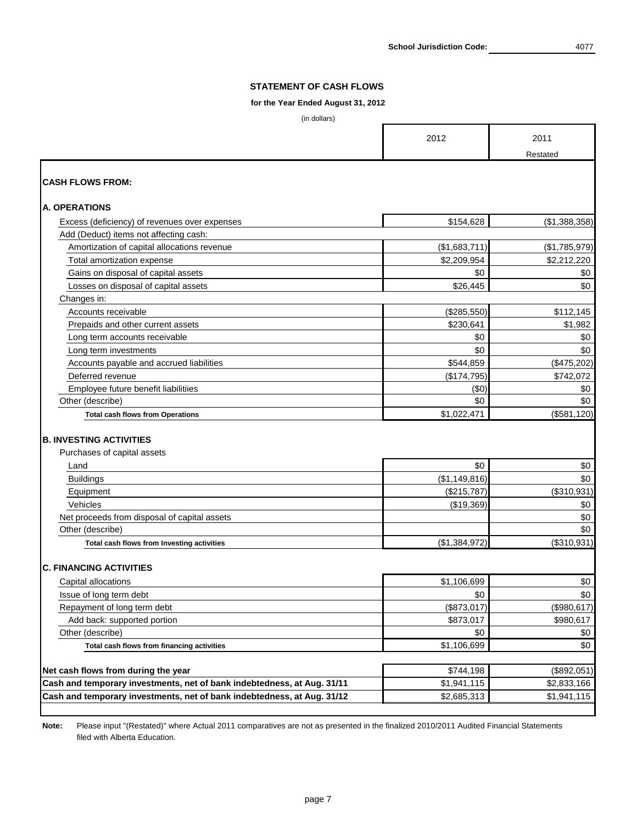### **for the Year Ended August 31, 2012**

(in dollars)

|                                               | 2012          | 2011<br>Restated |
|-----------------------------------------------|---------------|------------------|
| <b>CASH FLOWS FROM:</b>                       |               |                  |
| <b>A. OPERATIONS</b>                          |               |                  |
| Excess (deficiency) of revenues over expenses | \$154,628     | (\$1,388,358)    |
| Add (Deduct) items not affecting cash:        |               |                  |
| Amortization of capital allocations revenue   | (\$1,683,711] | (\$1,785,979)    |
| <b>Total amortization expense</b>             | \$2,209,954   | \$2,212,220      |
| Gains on disposal of capital assets           | \$0           | \$0              |
| Losses on disposal of capital assets          | \$26,445      | \$0              |
| Changes in:                                   |               |                  |
| Accounts receivable                           | (\$285,550)   | \$112,145        |
| Prepaids and other current assets             | \$230,641     | \$1,982          |
| Long term accounts receivable                 | \$0           | \$0              |
| Long term investments                         | \$0           | \$0              |
| Accounts payable and accrued liabilities      | \$544,859     | (\$475,202)      |
| Deferred revenue                              | (\$174,795)   | \$742,072        |
| Employee future benefit liabilitiies          | (\$0)         | \$0              |
| Other (describe)                              | \$0           | \$0              |
| <b>Total cash flows from Operations</b>       | \$1,022,471   | (\$581, 120)     |
| <b>B. INVESTING ACTIVITIES</b>                |               |                  |
| Purchases of capital assets                   |               |                  |
| Land                                          | \$0           | \$0              |
| <b>Buildings</b>                              | (\$1,149,816) | \$0              |
| Equipment                                     | (\$215,787)   | (\$310,931)      |
| Vehicles                                      | (\$19,369)    | \$0              |
| Net proceeds from disposal of capital assets  |               | \$0              |
| Other (describe)                              |               | \$0              |
| Total cash flows from Investing activities    | (\$1,384,972) | (\$310,931)      |
| <b>C. FINANCING ACTIVITIES</b>                |               |                  |
| Capital allocations                           | \$1,106,699   | \$0              |
| Issue of long term debt                       | \$0           | \$0              |
| Repayment of long term debt                   | (\$873,017)   | (\$980, 617)     |
| Add back: supported portion                   | \$873,017     | \$980,617        |
| Other (describe)                              | \$0           | \$0              |
| Total cash flows from financing activities    | \$1,106,699   | \$0              |

| Net cash flows from during the year                                     | \$744,198   | (\$892,051) |
|-------------------------------------------------------------------------|-------------|-------------|
| Cash and temporary investments, net of bank indebtedness, at Aug. 31/11 | \$1,941,115 | \$2,833,166 |
| Cash and temporary investments, net of bank indebtedness, at Aug. 31/12 | \$2,685,313 | \$1,941,115 |

**Note:** Please input "(Restated)" where Actual 2011 comparatives are not as presented in the finalized 2010/2011 Audited Financial Statements filed with Alberta Education.

**School Jurisdiction Code:**

### **STATEMENT OF CASH FLOWS**

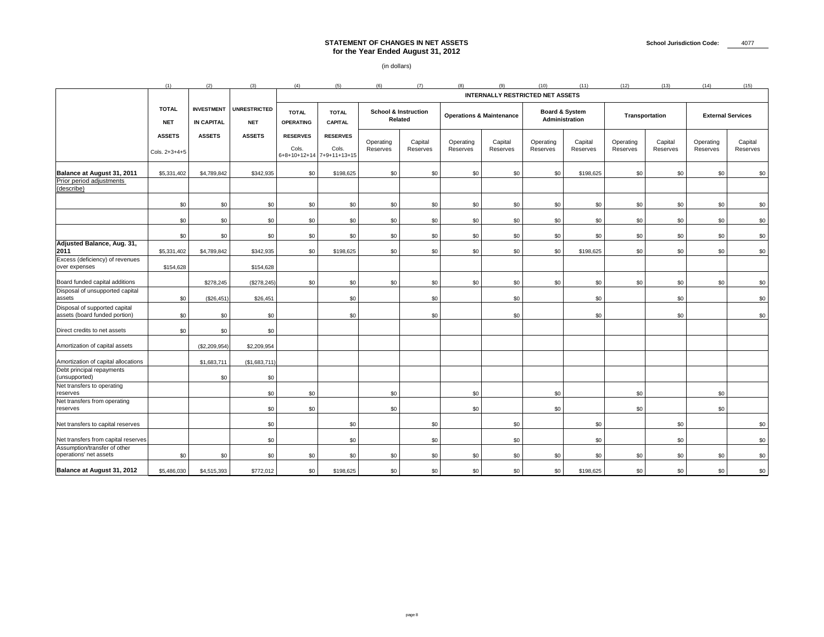|                                                                             | (1)                              | (2)                                    | (3)                               | (4)                              | (5)                                                       | (6)                          | (7)                                               |                              |                                         | (10)                  | (11)                                               | (12)                  | (13)                | (14)                  | (15)                     |
|-----------------------------------------------------------------------------|----------------------------------|----------------------------------------|-----------------------------------|----------------------------------|-----------------------------------------------------------|------------------------------|---------------------------------------------------|------------------------------|-----------------------------------------|-----------------------|----------------------------------------------------|-----------------------|---------------------|-----------------------|--------------------------|
|                                                                             |                                  |                                        |                                   |                                  |                                                           |                              |                                                   |                              | <b>INTERNALLY RESTRICTED NET ASSETS</b> |                       |                                                    |                       |                     |                       |                          |
|                                                                             | <b>TOTAL</b><br><b>NET</b>       | <b>INVESTMENT</b><br><b>IN CAPITAL</b> | <b>UNRESTRICTED</b><br><b>NET</b> | <b>TOTAL</b><br><b>OPERATING</b> | <b>TOTAL</b><br><b>CAPITAL</b>                            |                              | <b>School &amp; Instruction</b><br><b>Related</b> |                              | <b>Operations &amp; Maintenance</b>     |                       | <b>Board &amp; System</b><br><b>Administration</b> |                       | Transportation      |                       | <b>External Services</b> |
|                                                                             | <b>ASSETS</b><br>Cols. $2+3+4+5$ | <b>ASSETS</b>                          | <b>ASSETS</b>                     | <b>RESERVES</b><br>Cols.         | <b>RESERVES</b><br>Cols.<br>  6+8+10+12+14   7+9+11+13+15 | Operating<br><b>Reserves</b> | Capital<br><b>Reserves</b>                        | Operating<br><b>Reserves</b> | Capital<br>Reserves                     | Operating<br>Reserves | Capital<br><b>Reserves</b>                         | Operating<br>Reserves | Capital<br>Reserves | Operating<br>Reserves | Capital<br>Reserves      |
| <b>Balance at August 31, 2011</b><br>Prior period adjustments<br>(describe) | \$5,331,402                      | \$4,789,842                            | \$342,935                         | \$0                              | \$198,625                                                 | \$0                          | \$0                                               | \$0                          | \$0                                     | \$0                   | \$198,625                                          | \$0                   | \$0                 | \$0                   | \$0                      |
|                                                                             | \$0                              | \$0                                    | \$0                               | \$0                              | \$0                                                       | \$0                          | \$0 <sub>1</sub>                                  | \$0                          | \$0                                     | \$0                   | \$0                                                | \$0                   | \$0                 | \$0                   | \$0                      |
|                                                                             | \$0                              | \$0                                    | \$0                               | \$0                              | \$0                                                       | \$0                          | \$0                                               | \$0                          | \$0                                     | \$0                   | \$0                                                | \$0                   | \$0                 | \$0                   | \$0                      |
|                                                                             | \$0                              | \$0                                    | \$0                               | \$0                              | \$0                                                       | \$0                          | \$0                                               | \$0                          | \$0                                     | \$0                   | \$0                                                | \$0                   | \$0                 | \$0                   | \$0                      |
| Adjusted Balance, Aug. 31,<br>2011                                          | \$5,331,402                      | \$4,789,842                            | \$342,935                         | \$0                              | \$198,625                                                 | \$0                          | \$0                                               | \$0                          | \$0                                     | \$0                   | \$198,625                                          | \$0                   | \$0                 | \$0                   | \$0                      |
| Excess (deficiency) of revenues<br>over expenses                            | \$154,628                        |                                        | \$154,628                         |                                  |                                                           |                              |                                                   |                              |                                         |                       |                                                    |                       |                     |                       |                          |
| Board funded capital additions                                              |                                  | \$278,245                              | (\$278,245)                       | \$0                              | \$0                                                       | \$0                          | \$0                                               | \$0                          | \$0                                     | \$0                   | \$0                                                | \$0                   | \$0                 | \$0                   | \$0                      |
| Disposal of unsupported capital<br>assets                                   | \$0                              | (\$26,451)                             | \$26,451                          |                                  | \$0                                                       |                              | \$0 <sub>1</sub>                                  |                              | \$0                                     |                       | \$0                                                |                       | \$0                 |                       | \$0                      |
| Disposal of supported capital<br>assets (board funded portion)              | \$0                              | \$0                                    | \$0                               |                                  | \$0                                                       |                              | \$0                                               |                              | \$0                                     |                       | \$0                                                |                       | \$0                 |                       | \$0                      |
| Direct credits to net assets                                                | \$0                              | \$0                                    | \$0                               |                                  |                                                           |                              |                                                   |                              |                                         |                       |                                                    |                       |                     |                       |                          |
| Amortization of capital assets                                              |                                  | (\$2,209,954)                          | \$2,209,954                       |                                  |                                                           |                              |                                                   |                              |                                         |                       |                                                    |                       |                     |                       |                          |
| Amortization of capital allocations<br>Debt principal repayments            |                                  | \$1,683,711                            | (\$1,683,711)                     |                                  |                                                           |                              |                                                   |                              |                                         |                       |                                                    |                       |                     |                       |                          |
| (unsupported)<br>Net transfers to operating<br>reserves                     |                                  | \$0                                    | \$0<br>\$0                        | \$0                              |                                                           | \$0                          |                                                   | \$0                          |                                         | \$0                   |                                                    | \$0                   |                     | \$0                   |                          |
| Net transfers from operating<br>reserves                                    |                                  |                                        | \$0                               | \$0                              |                                                           | \$0                          |                                                   | \$0                          |                                         | \$0                   |                                                    | \$0                   |                     | \$0                   |                          |
| Net transfers to capital reserves                                           |                                  |                                        | \$0                               |                                  | \$0                                                       |                              | \$0                                               |                              | \$0                                     |                       | \$0                                                |                       | \$0                 |                       | \$0                      |
| Net transfers from capital reserves                                         |                                  |                                        | \$0                               |                                  | \$0                                                       |                              | \$0 <sub>1</sub>                                  |                              | \$0                                     |                       | \$0                                                |                       | \$0                 |                       | \$0                      |
| Assumption/transfer of other<br>operations' net assets                      | \$0                              | \$0                                    | \$0                               | \$0                              | \$0                                                       | \$0                          | \$0 <sub>1</sub>                                  | \$0                          | \$0                                     | \$0                   | \$0                                                | \$0                   | \$0                 | \$0 <sub>1</sub>      | \$0                      |
| <b>Balance at August 31, 2012</b>                                           | \$5,486,030                      | \$4,515,393                            | \$772,012                         | \$0                              | \$198,625                                                 | \$0                          | \$0                                               | \$0                          | \$0                                     | \$0                   | \$198,625                                          | \$0                   | \$0                 | \$0                   | \$0                      |

# **STATEMENT OF CHANGES IN NET ASSETS for the Year Ended August 31, 2012**

(in dollars)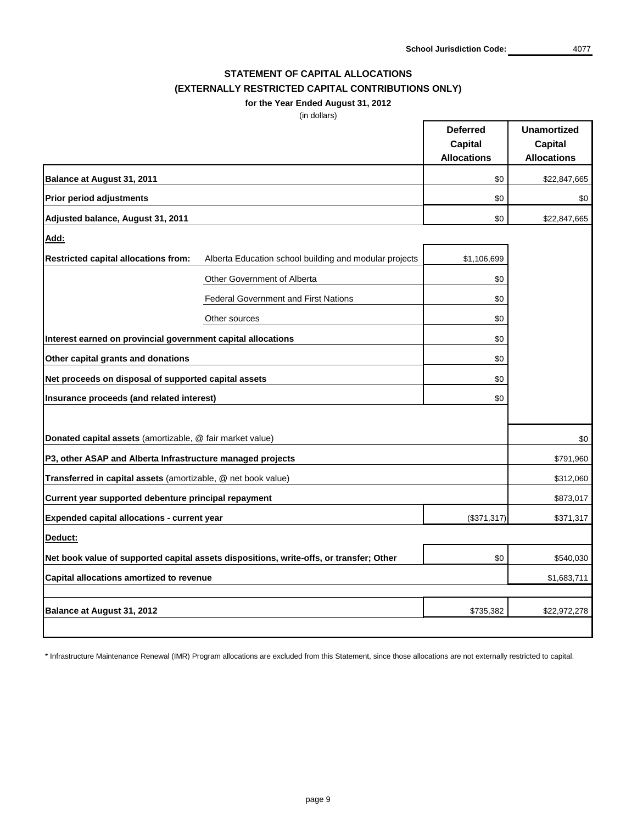**School Jurisdiction Code:** 4077

## **STATEMENT OF CAPITAL ALLOCATIONS (EXTERNALLY RESTRICTED CAPITAL CONTRIBUTIONS ONLY)**

**for the Year Ended August 31, 2012**

(in dollars)

|                                                               |                                                                                         | <b>Deferred</b>    | <b>Unamortized</b> |
|---------------------------------------------------------------|-----------------------------------------------------------------------------------------|--------------------|--------------------|
|                                                               |                                                                                         | <b>Capital</b>     | <b>Capital</b>     |
|                                                               |                                                                                         | <b>Allocations</b> | <b>Allocations</b> |
| <b>Balance at August 31, 2011</b>                             |                                                                                         | \$0                | \$22,847,665       |
| <b>Prior period adjustments</b>                               |                                                                                         | \$0                | \$0                |
| Adjusted balance, August 31, 2011                             |                                                                                         | \$0                | \$22,847,665       |
| <u>Add:</u>                                                   |                                                                                         |                    |                    |
| <b>Restricted capital allocations from:</b>                   | Alberta Education school building and modular projects                                  | \$1,106,699        |                    |
|                                                               | <b>Other Government of Alberta</b>                                                      | \$0                |                    |
|                                                               | <b>Federal Government and First Nations</b>                                             | \$0                |                    |
|                                                               | Other sources                                                                           | \$0                |                    |
| Interest earned on provincial government capital allocations  |                                                                                         | \$0                |                    |
| Other capital grants and donations                            |                                                                                         | \$0                |                    |
| Net proceeds on disposal of supported capital assets          |                                                                                         | \$0                |                    |
| Insurance proceeds (and related interest)                     |                                                                                         | \$0                |                    |
|                                                               |                                                                                         |                    |                    |
| Donated capital assets (amortizable, @ fair market value)     |                                                                                         |                    | \$0                |
| P3, other ASAP and Alberta Infrastructure managed projects    |                                                                                         |                    | \$791,960          |
| Transferred in capital assets (amortizable, @ net book value) |                                                                                         |                    | \$312,060          |
| Current year supported debenture principal repayment          |                                                                                         |                    | \$873,017          |
| <b>Expended capital allocations - current year</b>            |                                                                                         | (\$371,317)        | \$371,317          |
| Deduct:                                                       |                                                                                         |                    |                    |
|                                                               | Net book value of supported capital assets dispositions, write-offs, or transfer; Other | \$0                | \$540,030          |
| <b>Capital allocations amortized to revenue</b>               |                                                                                         |                    | \$1,683,711        |
|                                                               |                                                                                         |                    |                    |
| <b>Balance at August 31, 2012</b>                             |                                                                                         | \$735,382          | \$22,972,278       |

\* Infrastructure Maintenance Renewal (IMR) Program allocations are excluded from this Statement, since those allocations are not externally restricted to capital.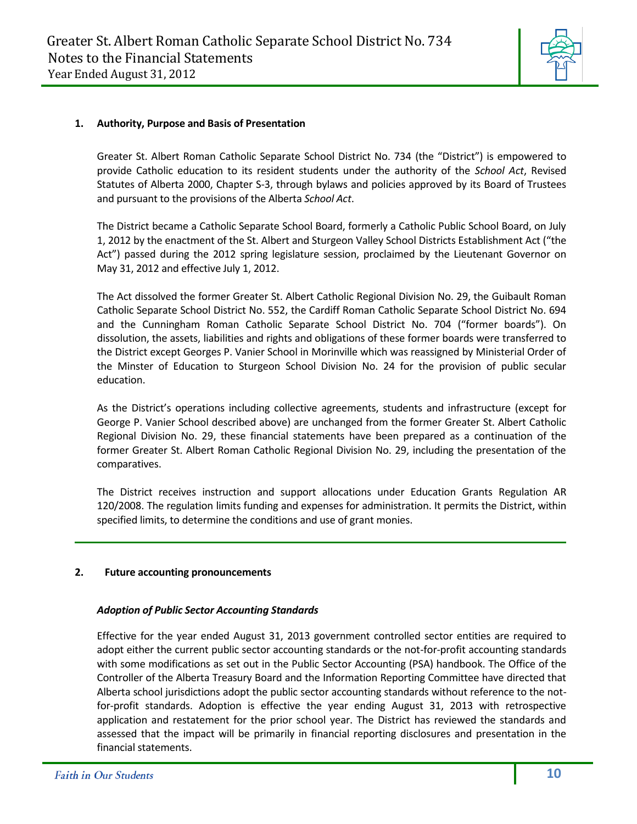

#### **1. Authority, Purpose and Basis of Presentation**

Greater St. Albert Roman Catholic Separate School District No. 734 (the "District") is empowered to provide Catholic education to its resident students under the authority of the *School Act*, Revised Statutes of Alberta 2000, Chapter S-3, through bylaws and policies approved by its Board of Trustees and pursuant to the provisions of the Alberta *School Act*.

The District became a Catholic Separate School Board, formerly a Catholic Public School Board, on July 1, 2012 by the enactment of the St. Albert and Sturgeon Valley School Districts Establishment Act ("the Act") passed during the 2012 spring legislature session, proclaimed by the Lieutenant Governor on May 31, 2012 and effective July 1, 2012.

The Act dissolved the former Greater St. Albert Catholic Regional Division No. 29, the Guibault Roman Catholic Separate School District No. 552, the Cardiff Roman Catholic Separate School District No. 694 and the Cunningham Roman Catholic Separate School District No. 704 ("former boards"). On dissolution, the assets, liabilities and rights and obligations of these former boards were transferred to the District except Georges P. Vanier School in Morinville which was reassigned by Ministerial Order of the Minster of Education to Sturgeon School Division No. 24 for the provision of public secular education.

As the District's operations including collective agreements, students and infrastructure (except for George P. Vanier School described above) are unchanged from the former Greater St. Albert Catholic Regional Division No. 29, these financial statements have been prepared as a continuation of the former Greater St. Albert Roman Catholic Regional Division No. 29, including the presentation of the comparatives.

The District receives instruction and support allocations under Education Grants Regulation AR 120/2008. The regulation limits funding and expenses for administration. It permits the District, within specified limits, to determine the conditions and use of grant monies.

#### **2. Future accounting pronouncements**

#### *Adoption of Public Sector Accounting Standards*

Effective for the year ended August 31, 2013 government controlled sector entities are required to adopt either the current public sector accounting standards or the not-for-profit accounting standards with some modifications as set out in the Public Sector Accounting (PSA) handbook. The Office of the Controller of the Alberta Treasury Board and the Information Reporting Committee have directed that Alberta school jurisdictions adopt the public sector accounting standards without reference to the notfor-profit standards. Adoption is effective the year ending August 31, 2013 with retrospective application and restatement for the prior school year. The District has reviewed the standards and assessed that the impact will be primarily in financial reporting disclosures and presentation in the financial statements.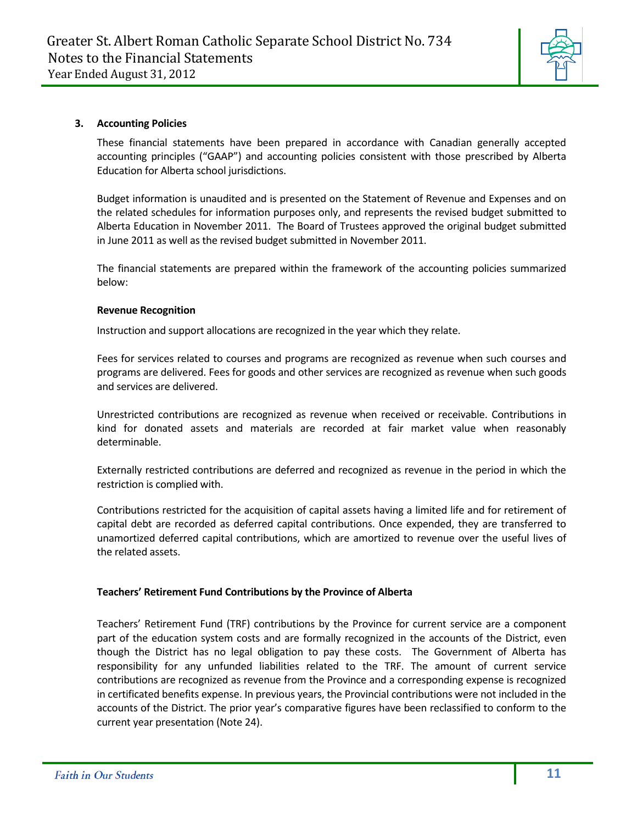

#### **3. Accounting Policies**

These financial statements have been prepared in accordance with Canadian generally accepted accounting principles ("GAAP") and accounting policies consistent with those prescribed by Alberta Education for Alberta school jurisdictions.

Budget information is unaudited and is presented on the Statement of Revenue and Expenses and on the related schedules for information purposes only, and represents the revised budget submitted to Alberta Education in November 2011. The Board of Trustees approved the original budget submitted in June 2011 as well as the revised budget submitted in November 2011.

The financial statements are prepared within the framework of the accounting policies summarized below:

#### **Revenue Recognition**

Instruction and support allocations are recognized in the year which they relate.

Fees for services related to courses and programs are recognized as revenue when such courses and programs are delivered. Fees for goods and other services are recognized as revenue when such goods and services are delivered.

Unrestricted contributions are recognized as revenue when received or receivable. Contributions in kind for donated assets and materials are recorded at fair market value when reasonably determinable.

Externally restricted contributions are deferred and recognized as revenue in the period in which the restriction is complied with.

Contributions restricted for the acquisition of capital assets having a limited life and for retirement of capital debt are recorded as deferred capital contributions. Once expended, they are transferred to unamortized deferred capital contributions, which are amortized to revenue over the useful lives of the related assets.

#### **Teachers' Retirement Fund Contributions by the Province of Alberta**

Teachers' Retirement Fund (TRF) contributions by the Province for current service are a component part of the education system costs and are formally recognized in the accounts of the District, even though the District has no legal obligation to pay these costs. The Government of Alberta has responsibility for any unfunded liabilities related to the TRF. The amount of current service contributions are recognized as revenue from the Province and a corresponding expense is recognized in certificated benefits expense. In previous years, the Provincial contributions were not included in the accounts of the District. The prior year's comparative figures have been reclassified to conform to the current year presentation (Note 24).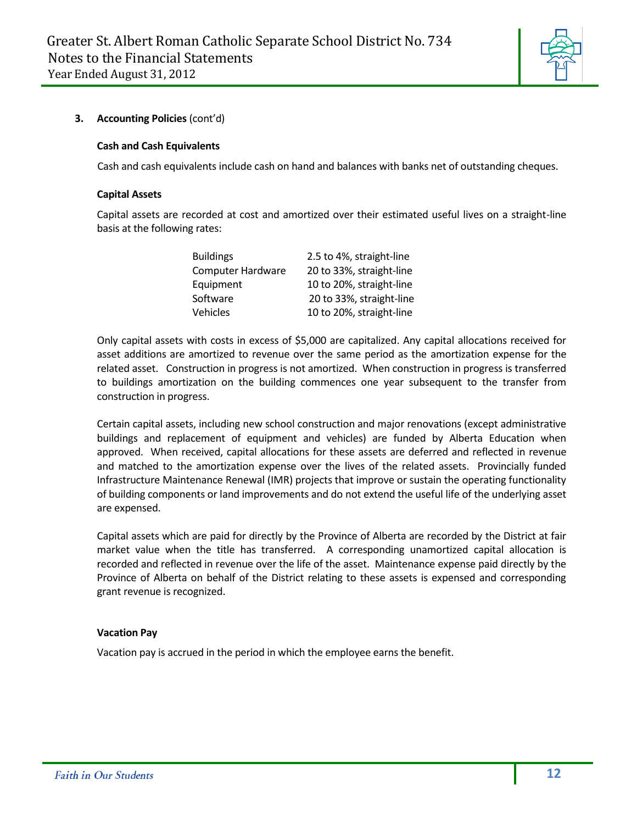

#### **Cash and Cash Equivalents**

Cash and cash equivalents include cash on hand and balances with banks net of outstanding cheques.

#### **Capital Assets**

Capital assets are recorded at cost and amortized over their estimated useful lives on a straight-line basis at the following rates:

| <b>Buildings</b>         | 2.5 to 4%, straight-line |
|--------------------------|--------------------------|
| <b>Computer Hardware</b> | 20 to 33%, straight-line |
| Equipment                | 10 to 20%, straight-line |
| Software                 | 20 to 33%, straight-line |
| Vehicles                 | 10 to 20%, straight-line |

Only capital assets with costs in excess of \$5,000 are capitalized. Any capital allocations received for asset additions are amortized to revenue over the same period as the amortization expense for the related asset. Construction in progress is not amortized. When construction in progress is transferred to buildings amortization on the building commences one year subsequent to the transfer from construction in progress.

Certain capital assets, including new school construction and major renovations (except administrative buildings and replacement of equipment and vehicles) are funded by Alberta Education when approved. When received, capital allocations for these assets are deferred and reflected in revenue and matched to the amortization expense over the lives of the related assets. Provincially funded Infrastructure Maintenance Renewal (IMR) projects that improve or sustain the operating functionality of building components or land improvements and do not extend the useful life of the underlying asset are expensed.

Capital assets which are paid for directly by the Province of Alberta are recorded by the District at fair market value when the title has transferred. A corresponding unamortized capital allocation is recorded and reflected in revenue over the life of the asset. Maintenance expense paid directly by the Province of Alberta on behalf of the District relating to these assets is expensed and corresponding grant revenue is recognized.

#### **Vacation Pay**

Vacation pay is accrued in the period in which the employee earns the benefit.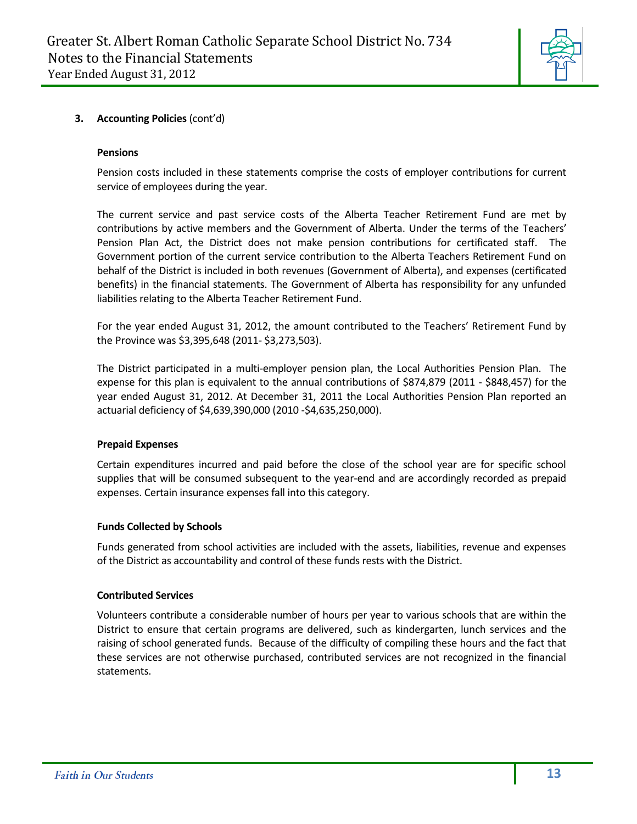

#### **Pensions**

Pension costs included in these statements comprise the costs of employer contributions for current service of employees during the year.

The current service and past service costs of the Alberta Teacher Retirement Fund are met by contributions by active members and the Government of Alberta. Under the terms of the Teachers' Pension Plan Act, the District does not make pension contributions for certificated staff. The Government portion of the current service contribution to the Alberta Teachers Retirement Fund on behalf of the District is included in both revenues (Government of Alberta), and expenses (certificated benefits) in the financial statements. The Government of Alberta has responsibility for any unfunded liabilities relating to the Alberta Teacher Retirement Fund.

For the year ended August 31, 2012, the amount contributed to the Teachers' Retirement Fund by the Province was \$3,395,648 (2011- \$3,273,503).

The District participated in a multi-employer pension plan, the Local Authorities Pension Plan. The expense for this plan is equivalent to the annual contributions of \$874,879 (2011 - \$848,457) for the year ended August 31, 2012. At December 31, 2011 the Local Authorities Pension Plan reported an actuarial deficiency of \$4,639,390,000 (2010 -\$4,635,250,000).

#### **Prepaid Expenses**

Certain expenditures incurred and paid before the close of the school year are for specific school supplies that will be consumed subsequent to the year-end and are accordingly recorded as prepaid expenses. Certain insurance expenses fall into this category.

#### **Funds Collected by Schools**

Funds generated from school activities are included with the assets, liabilities, revenue and expenses of the District as accountability and control of these funds rests with the District.

#### **Contributed Services**

Volunteers contribute a considerable number of hours per year to various schools that are within the District to ensure that certain programs are delivered, such as kindergarten, lunch services and the raising of school generated funds. Because of the difficulty of compiling these hours and the fact that these services are not otherwise purchased, contributed services are not recognized in the financial statements.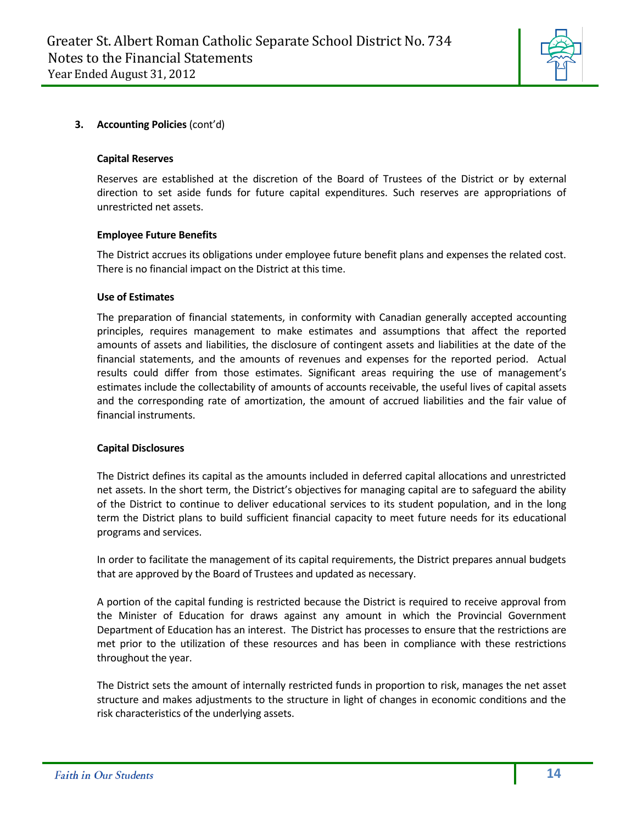

#### **Capital Reserves**

Reserves are established at the discretion of the Board of Trustees of the District or by external direction to set aside funds for future capital expenditures. Such reserves are appropriations of unrestricted net assets.

#### **Employee Future Benefits**

The District accrues its obligations under employee future benefit plans and expenses the related cost. There is no financial impact on the District at this time.

#### **Use of Estimates**

The preparation of financial statements, in conformity with Canadian generally accepted accounting principles, requires management to make estimates and assumptions that affect the reported amounts of assets and liabilities, the disclosure of contingent assets and liabilities at the date of the financial statements, and the amounts of revenues and expenses for the reported period. Actual results could differ from those estimates. Significant areas requiring the use of management's estimates include the collectability of amounts of accounts receivable, the useful lives of capital assets and the corresponding rate of amortization, the amount of accrued liabilities and the fair value of financial instruments.

#### **Capital Disclosures**

The District defines its capital as the amounts included in deferred capital allocations and unrestricted net assets. In the short term, the District's objectives for managing capital are to safeguard the ability of the District to continue to deliver educational services to its student population, and in the long term the District plans to build sufficient financial capacity to meet future needs for its educational programs and services.

In order to facilitate the management of its capital requirements, the District prepares annual budgets that are approved by the Board of Trustees and updated as necessary.

A portion of the capital funding is restricted because the District is required to receive approval from the Minister of Education for draws against any amount in which the Provincial Government Department of Education has an interest. The District has processes to ensure that the restrictions are met prior to the utilization of these resources and has been in compliance with these restrictions throughout the year.

The District sets the amount of internally restricted funds in proportion to risk, manages the net asset structure and makes adjustments to the structure in light of changes in economic conditions and the risk characteristics of the underlying assets.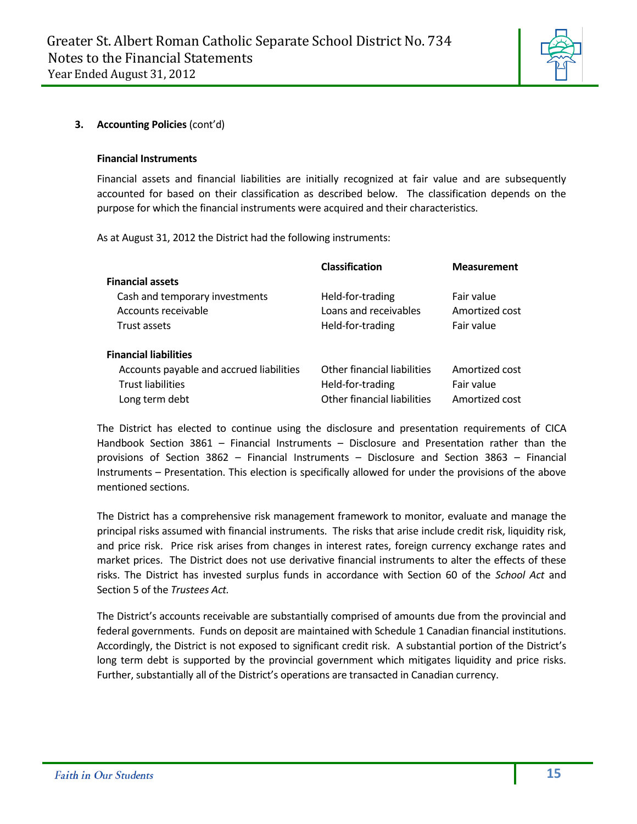

#### **Financial Instruments**

Financial assets and financial liabilities are initially recognized at fair value and are subsequently accounted for based on their classification as described below. The classification depends on the purpose for which the financial instruments were acquired and their characteristics.

As at August 31, 2012 the District had the following instruments:

|                                          | <b>Classification</b>       | <b>Measurement</b> |
|------------------------------------------|-----------------------------|--------------------|
| <b>Financial assets</b>                  |                             |                    |
| Cash and temporary investments           | Held-for-trading            | Fair value         |
| Accounts receivable                      | Loans and receivables       | Amortized cost     |
| Trust assets                             | Held-for-trading            | Fair value         |
|                                          |                             |                    |
| <b>Financial liabilities</b>             |                             |                    |
| Accounts payable and accrued liabilities | Other financial liabilities | Amortized cost     |
| <b>Trust liabilities</b>                 | Held-for-trading            | Fair value         |
| Long term debt                           | Other financial liabilities | Amortized cost     |

The District has elected to continue using the disclosure and presentation requirements of CICA Handbook Section 3861 – Financial Instruments – Disclosure and Presentation rather than the provisions of Section 3862 – Financial Instruments – Disclosure and Section 3863 – Financial Instruments – Presentation. This election is specifically allowed for under the provisions of the above mentioned sections.

The District has a comprehensive risk management framework to monitor, evaluate and manage the principal risks assumed with financial instruments. The risks that arise include credit risk, liquidity risk, and price risk. Price risk arises from changes in interest rates, foreign currency exchange rates and market prices. The District does not use derivative financial instruments to alter the effects of these risks. The District has invested surplus funds in accordance with Section 60 of the *School Act* and Section 5 of the *Trustees Act.*

The District's accounts receivable are substantially comprised of amounts due from the provincial and federal governments. Funds on deposit are maintained with Schedule 1 Canadian financial institutions. Accordingly, the District is not exposed to significant credit risk. A substantial portion of the District's long term debt is supported by the provincial government which mitigates liquidity and price risks. Further, substantially all of the District's operations are transacted in Canadian currency.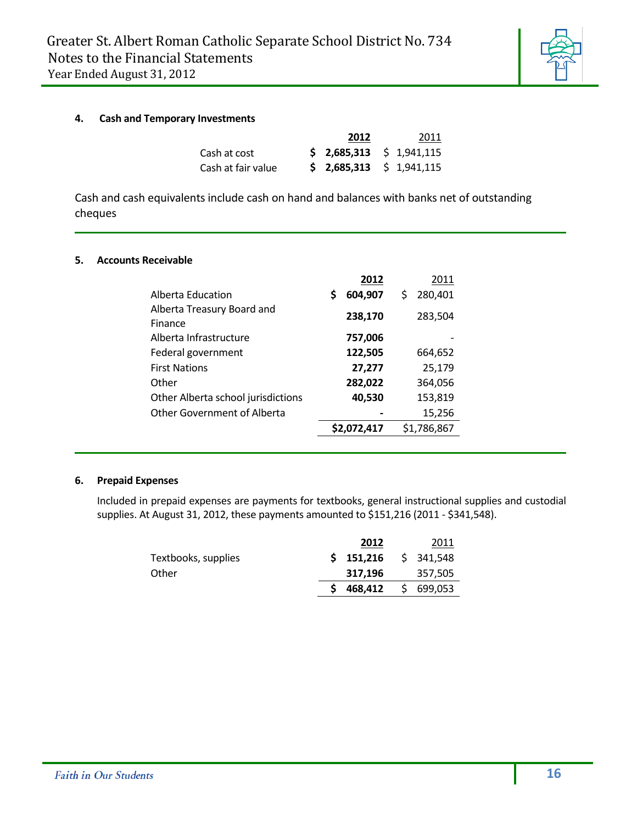

#### **4. Cash and Temporary Investments**

|                    | 2012                          | 2011 |
|--------------------|-------------------------------|------|
| Cash at cost       | $$2,685,313 \quad $1,941,115$ |      |
| Cash at fair value | $$2,685,313 \quad $1,941,115$ |      |

Cash and cash equivalents include cash on hand and balances with banks net of outstanding cheques

#### **5. Accounts Receivable**

|                                       |   | 2012        |   | 2011        |
|---------------------------------------|---|-------------|---|-------------|
| Alberta Education                     | S | 604,907     | Ś | 280,401     |
| Alberta Treasury Board and<br>Finance |   | 238,170     |   | 283,504     |
| Alberta Infrastructure                |   | 757,006     |   |             |
| Federal government                    |   | 122,505     |   | 664,652     |
| <b>First Nations</b>                  |   | 27,277      |   | 25,179      |
| Other                                 |   | 282,022     |   | 364,056     |
| Other Alberta school jurisdictions    |   | 40,530      |   | 153,819     |
| <b>Other Government of Alberta</b>    |   |             |   | 15,256      |
|                                       |   | \$2,072,417 |   | \$1,786,867 |

#### **6. Prepaid Expenses**

Included in prepaid expenses are payments for textbooks, general instructional supplies and custodial supplies. At August 31, 2012, these payments amounted to \$151,216 (2011 - \$341,548).

|                     | 2012               | 2011      |
|---------------------|--------------------|-----------|
| Textbooks, supplies | \$151,216          | \$341,548 |
| Other               | 317.196            | 357,505   |
|                     | 468,412 \$ 699,053 |           |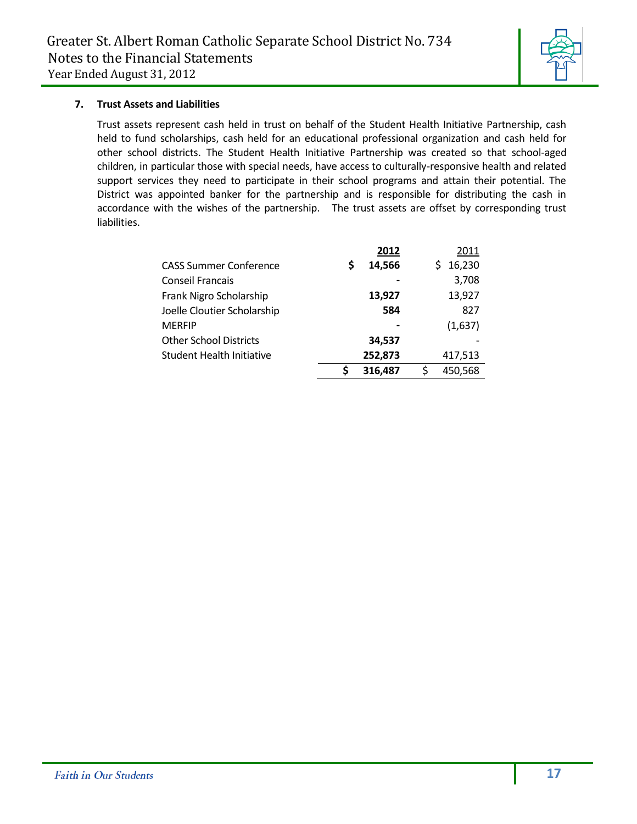

#### **7. Trust Assets and Liabilities**

Trust assets represent cash held in trust on behalf of the Student Health Initiative Partnership, cash held to fund scholarships, cash held for an educational professional organization and cash held for other school districts. The Student Health Initiative Partnership was created so that school-aged children, in particular those with special needs, have access to culturally-responsive health and related support services they need to participate in their school programs and attain their potential. The District was appointed banker for the partnership and is responsible for distributing the cash in accordance with the wishes of the partnership. The trust assets are offset by corresponding trust liabilities.

|                                  |   | 2012    |   | 2011    |
|----------------------------------|---|---------|---|---------|
| <b>CASS Summer Conference</b>    | S | 14,566  |   | 16,230  |
| <b>Conseil Francais</b>          |   |         |   | 3,708   |
| Frank Nigro Scholarship          |   | 13,927  |   | 13,927  |
| Joelle Cloutier Scholarship      |   | 584     |   | 827     |
| <b>MERFIP</b>                    |   |         |   | (1,637) |
| <b>Other School Districts</b>    |   | 34,537  |   |         |
| <b>Student Health Initiative</b> |   | 252,873 |   | 417,513 |
|                                  |   | 316,487 | ς | 450,568 |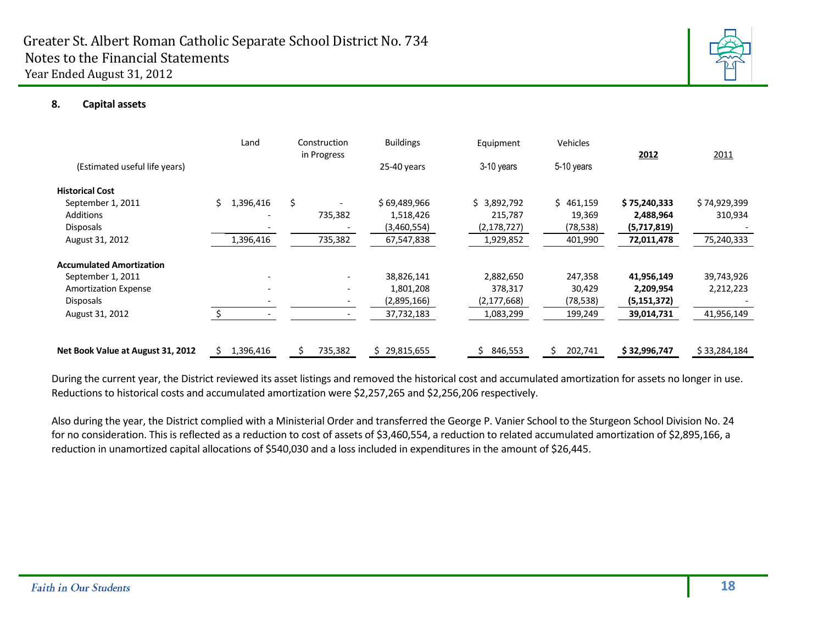

#### **8. Capital assets**

|                                   | Land             | Construction<br>in Progress | <b>Buildings</b> | Equipment     | Vehicles      | 2012          | 2011         |
|-----------------------------------|------------------|-----------------------------|------------------|---------------|---------------|---------------|--------------|
| (Estimated useful life years)     |                  |                             | 25-40 years      | 3-10 years    | 5-10 years    |               |              |
| <b>Historical Cost</b>            |                  |                             |                  |               |               |               |              |
| September 1, 2011                 | 1,396,416<br>\$. | \$                          | \$69,489,966     | \$3,892,792   | \$461,159     | \$75,240,333  | \$74,929,399 |
| <b>Additions</b>                  |                  | 735,382                     | 1,518,426        | 215,787       | 19,369        | 2,488,964     | 310,934      |
| <b>Disposals</b>                  |                  |                             | (3,460,554)      | (2, 178, 727) | (78,538)      | (5,717,819)   |              |
| August 31, 2012                   | 1,396,416        | 735,382                     | 67,547,838       | 1,929,852     | 401,990       | 72,011,478    | 75,240,333   |
| <b>Accumulated Amortization</b>   |                  |                             |                  |               |               |               |              |
| September 1, 2011                 |                  | $\overline{\phantom{a}}$    | 38,826,141       | 2,882,650     | 247,358       | 41,956,149    | 39,743,926   |
| <b>Amortization Expense</b>       |                  | $\overline{\phantom{a}}$    | 1,801,208        | 378,317       | 30,429        | 2,209,954     | 2,212,223    |
| <b>Disposals</b>                  |                  |                             | (2,895,166)      | (2, 177, 668) | (78,538)      | (5, 151, 372) |              |
| August 31, 2012                   |                  |                             | 37,732,183       | 1,083,299     | 199,249       | 39,014,731    | 41,956,149   |
| Net Book Value at August 31, 2012 | 1,396,416<br>S   | 735,382                     | 29,815,655<br>Ś. | 846,553<br>Ś  | 202,741<br>Ś. | \$32,996,747  | \$33,284,184 |

During the current year, the District reviewed its asset listings and removed the historical cost and accumulated amortization for assets no longer in use. Reductions to historical costs and accumulated amortization were \$2,257,265 and \$2,256,206 respectively.

Also during the year, the District complied with a Ministerial Order and transferred the George P. Vanier School to the Sturgeon School Division No. 24 for no consideration. This is reflected as a reduction to cost of assets of \$3,460,554, a reduction to related accumulated amortization of \$2,895,166, a reduction in unamortized capital allocations of \$540,030 and a loss included in expenditures in the amount of \$26,445.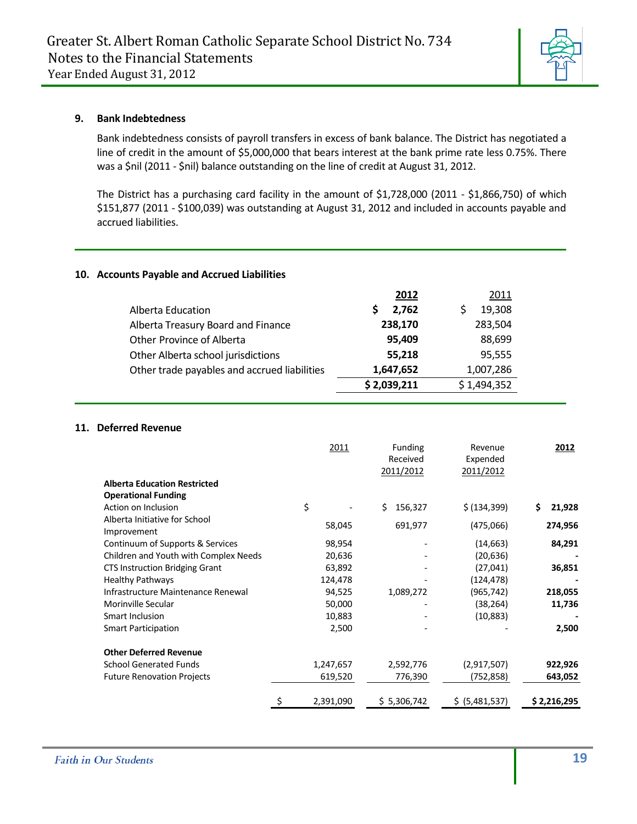

#### **9. Bank Indebtedness**

Bank indebtedness consists of payroll transfers in excess of bank balance. The District has negotiated a line of credit in the amount of \$5,000,000 that bears interest at the bank prime rate less 0.75%. There was a \$nil (2011 - \$nil) balance outstanding on the line of credit at August 31, 2012.

The District has a purchasing card facility in the amount of \$1,728,000 (2011 - \$1,866,750) of which \$151,877 (2011 - \$100,039) was outstanding at August 31, 2012 and included in accounts payable and accrued liabilities.

#### **10. Accounts Payable and Accrued Liabilities**

|                                              | 2012        | 2011        |
|----------------------------------------------|-------------|-------------|
| Alberta Education                            | 2.762       | 19,308      |
| Alberta Treasury Board and Finance           | 238,170     | 283,504     |
| Other Province of Alberta                    | 95.409      | 88,699      |
| Other Alberta school jurisdictions           | 55,218      | 95,555      |
| Other trade payables and accrued liabilities | 1,647,652   | 1,007,286   |
|                                              | \$2,039,211 | \$1,494,352 |

#### **11. Deferred Revenue**

|                                       | 2011            | <b>Funding</b> | Revenue        | 2012         |
|---------------------------------------|-----------------|----------------|----------------|--------------|
|                                       |                 | Received       | Expended       |              |
|                                       |                 | 2011/2012      | 2011/2012      |              |
| <b>Alberta Education Restricted</b>   |                 |                |                |              |
| <b>Operational Funding</b>            |                 |                |                |              |
| Action on Inclusion                   | \$              | Ś.<br>156,327  | \$ (134, 399)  | 21,928<br>\$ |
| Alberta Initiative for School         |                 |                |                |              |
| Improvement                           | 58,045          | 691,977        | (475,066)      | 274,956      |
| Continuum of Supports & Services      | 98,954          |                | (14, 663)      | 84,291       |
| Children and Youth with Complex Needs | 20,636          |                | (20,636)       |              |
| <b>CTS Instruction Bridging Grant</b> | 63,892          |                | (27, 041)      | 36,851       |
| <b>Healthy Pathways</b>               | 124,478         |                | (124, 478)     |              |
| Infrastructure Maintenance Renewal    | 94,525          | 1,089,272      | (965,742)      | 218,055      |
| Morinville Secular                    | 50,000          |                | (38,264)       | 11,736       |
| Smart Inclusion                       | 10,883          |                | (10, 883)      |              |
| <b>Smart Participation</b>            | 2,500           |                |                | 2,500        |
| <b>Other Deferred Revenue</b>         |                 |                |                |              |
| <b>School Generated Funds</b>         | 1,247,657       | 2,592,776      | (2,917,507)    | 922,926      |
| <b>Future Renovation Projects</b>     | 619,520         | 776,390        | (752,858)      | 643,052      |
|                                       | \$<br>2,391,090 | \$5,306,742    | \$ (5,481,537) | \$2,216,295  |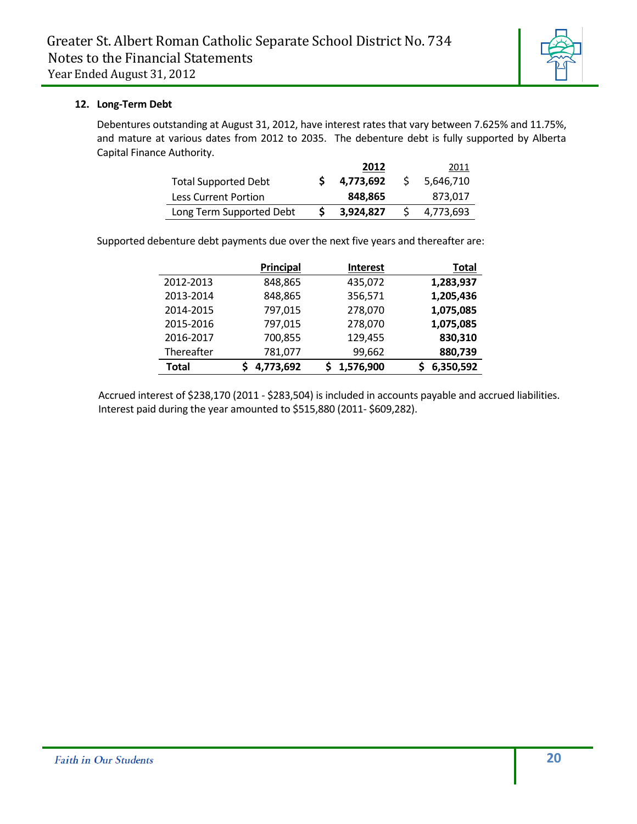

#### **12. Long-Term Debt**

Debentures outstanding at August 31, 2012, have interest rates that vary between 7.625% and 11.75%, and mature at various dates from 2012 to 2035. The debenture debt is fully supported by Alberta Capital Finance Authority.

|                             | 2012      |    | 2011      |
|-----------------------------|-----------|----|-----------|
| <b>Total Supported Debt</b> | 4.773.692 | -S | 5,646,710 |
| Less Current Portion        | 848.865   |    | 873.017   |
| Long Term Supported Debt    | 3,924,827 |    | 4,773,693 |

Supported debenture debt payments due over the next five years and thereafter are:

|            | <b>Principal</b> | <b>Interest</b> | <b>Total</b> |
|------------|------------------|-----------------|--------------|
| 2012-2013  | 848,865          | 435,072         | 1,283,937    |
| 2013-2014  | 848,865          | 356,571         | 1,205,436    |
| 2014-2015  | 797,015          | 278,070         | 1,075,085    |
| 2015-2016  | 797,015          | 278,070         | 1,075,085    |
| 2016-2017  | 700,855          | 129,455         | 830,310      |
| Thereafter | 781,077          | 99,662          | 880,739      |
| Total      | 4,773,692        | 1,576,900       | 6,350,592    |

Accrued interest of \$238,170 (2011 - \$283,504) is included in accounts payable and accrued liabilities. Interest paid during the year amounted to \$515,880 (2011- \$609,282).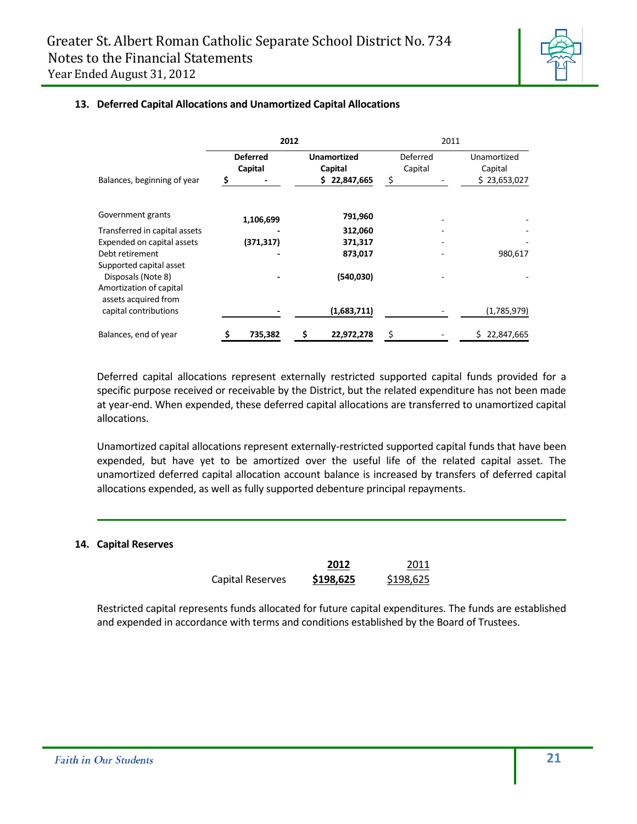**13. Deferred Capital Allocations and Unamortized Capital Allocations**



#### **2012** 2011 **Deferred Unamortized**  Deferred

| Balances, beginning of year                                              |    | <b>Deferred</b><br><b>Unamortized</b><br>Capital<br>Capital<br>22,847,665<br>\$<br>\$. |    | \$<br>Deferred<br>Capital | Unamortized<br>Capital<br>\$23,653,027 |             |  |
|--------------------------------------------------------------------------|----|----------------------------------------------------------------------------------------|----|---------------------------|----------------------------------------|-------------|--|
|                                                                          |    |                                                                                        |    |                           |                                        |             |  |
| Government grants                                                        |    | 1,106,699                                                                              |    | 791,960                   |                                        |             |  |
| Transferred in capital assets                                            |    |                                                                                        |    | 312,060                   |                                        |             |  |
| Expended on capital assets                                               |    | (371,317)                                                                              |    | 371,317                   |                                        |             |  |
| Debt retirement                                                          |    |                                                                                        |    | 873,017                   |                                        | 980,617     |  |
| Supported capital asset<br>Disposals (Note 8)                            |    |                                                                                        |    | (540, 030)                |                                        |             |  |
| Amortization of capital<br>assets acquired from<br>capital contributions |    |                                                                                        |    | (1,683,711)               |                                        | (1,785,979) |  |
| Balances, end of year                                                    | \$ | 735,382                                                                                | \$ | 22,972,278                | \$                                     | 22,847,665  |  |

Deferred capital allocations represent externally restricted supported capital funds provided for a specific purpose received or receivable by the District, but the related expenditure has not been made at year-end. When expended, these deferred capital allocations are transferred to unamortized capital allocations.

Unamortized capital allocations represent externally-restricted supported capital funds that have been expended, but have yet to be amortized over the useful life of the related capital asset. The unamortized deferred capital allocation account balance is increased by transfers of deferred capital allocations expended, as well as fully supported debenture principal repayments.

#### **14. Capital Reserves**

|                  | 2012      | 2011      |
|------------------|-----------|-----------|
| Capital Reserves | \$198,625 | \$198,625 |

Restricted capital represents funds allocated for future capital expenditures. The funds are established and expended in accordance with terms and conditions established by the Board of Trustees.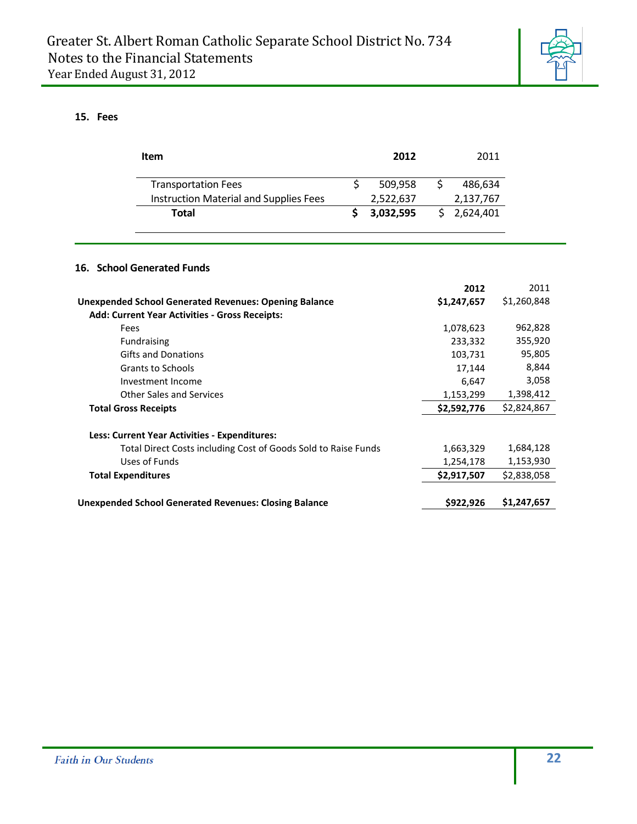

#### **15. Fees**

| <b>Item</b>                                                    | 2012 |           |    |             | 2011        |
|----------------------------------------------------------------|------|-----------|----|-------------|-------------|
| <b>Transportation Fees</b>                                     | \$   | 509,958   | \$ | 486,634     |             |
| Instruction Material and Supplies Fees                         |      | 2,522,637 |    | 2,137,767   |             |
| <b>Total</b>                                                   | \$   | 3,032,595 | Ś. | 2,624,401   |             |
| 16. School Generated Funds                                     |      |           |    |             |             |
|                                                                |      |           |    | 2012        | 2011        |
| <b>Unexpended School Generated Revenues: Opening Balance</b>   |      |           |    | \$1,247,657 | \$1,260,848 |
| <b>Add: Current Year Activities - Gross Receipts:</b>          |      |           |    |             |             |
| Fees                                                           |      |           |    | 1,078,623   | 962,828     |
| Fundraising                                                    |      |           |    | 233,332     | 355,920     |
| <b>Gifts and Donations</b>                                     |      |           |    | 103,731     | 95,805      |
| <b>Grants to Schools</b>                                       |      |           |    | 17,144      | 8,844       |
| Investment Income                                              |      |           |    | 6,647       | 3,058       |
| <b>Other Sales and Services</b>                                |      |           |    | 1,153,299   | 1,398,412   |
| <b>Total Gross Receipts</b>                                    |      |           |    | \$2,592,776 | \$2,824,867 |
| Less: Current Year Activities - Expenditures:                  |      |           |    |             |             |
| Total Direct Costs including Cost of Goods Sold to Raise Funds |      |           |    | 1,663,329   | 1,684,128   |
| Uses of Funds                                                  |      |           |    | 1,254,178   | 1,153,930   |
| <b>Total Expenditures</b>                                      |      |           |    | \$2,917,507 | \$2,838,058 |
| <b>Unexpended School Generated Revenues: Closing Balance</b>   |      |           |    | \$922,926   | \$1,247,657 |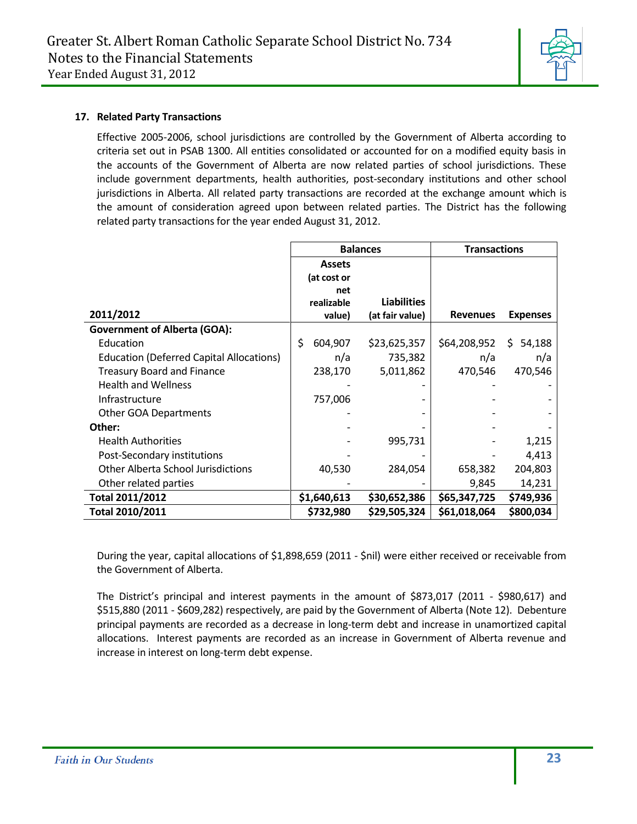

#### **17. Related Party Transactions**

Effective 2005-2006, school jurisdictions are controlled by the Government of Alberta according to criteria set out in PSAB 1300. All entities consolidated or accounted for on a modified equity basis in the accounts of the Government of Alberta are now related parties of school jurisdictions. These include government departments, health authorities, post-secondary institutions and other school jurisdictions in Alberta. All related party transactions are recorded at the exchange amount which is the amount of consideration agreed upon between related parties. The District has the following related party transactions for the year ended August 31, 2012.

|                                                 |               | <b>Balances</b>    | <b>Transactions</b> |                 |  |
|-------------------------------------------------|---------------|--------------------|---------------------|-----------------|--|
|                                                 | <b>Assets</b> |                    |                     |                 |  |
|                                                 | (at cost or   |                    |                     |                 |  |
|                                                 | net           |                    |                     |                 |  |
|                                                 | realizable    | <b>Liabilities</b> |                     |                 |  |
| 2011/2012                                       | value)        | (at fair value)    | <b>Revenues</b>     | <b>Expenses</b> |  |
| <b>Government of Alberta (GOA):</b>             |               |                    |                     |                 |  |
| Education                                       | \$<br>604,907 | \$23,625,357       | \$64,208,952        | \$54,188        |  |
| <b>Education (Deferred Capital Allocations)</b> | n/a           | 735,382            | n/a                 | n/a             |  |
| <b>Treasury Board and Finance</b>               | 238,170       | 5,011,862          | 470,546             | 470,546         |  |
| <b>Health and Wellness</b>                      |               |                    |                     |                 |  |
| Infrastructure                                  | 757,006       |                    |                     |                 |  |
| <b>Other GOA Departments</b>                    |               |                    |                     |                 |  |
| Other:                                          |               |                    |                     |                 |  |
| <b>Health Authorities</b>                       |               | 995,731            |                     | 1,215           |  |
| Post-Secondary institutions                     |               |                    |                     | 4,413           |  |
| <b>Other Alberta School Jurisdictions</b>       | 40,530        | 284,054            | 658,382             | 204,803         |  |
| Other related parties                           |               |                    | 9,845               | 14,231          |  |
| Total 2011/2012                                 | \$1,640,613   | \$30,652,386       | \$65,347,725        | \$749,936       |  |
| Total 2010/2011                                 | \$732,980     | \$29,505,324       | \$61,018,064        | \$800,034       |  |

During the year, capital allocations of \$1,898,659 (2011 - \$nil) were either received or receivable from the Government of Alberta.

The District's principal and interest payments in the amount of \$873,017 (2011 - \$980,617) and \$515,880 (2011 - \$609,282) respectively, are paid by the Government of Alberta (Note 12). Debenture principal payments are recorded as a decrease in long-term debt and increase in unamortized capital allocations. Interest payments are recorded as an increase in Government of Alberta revenue and increase in interest on long-term debt expense.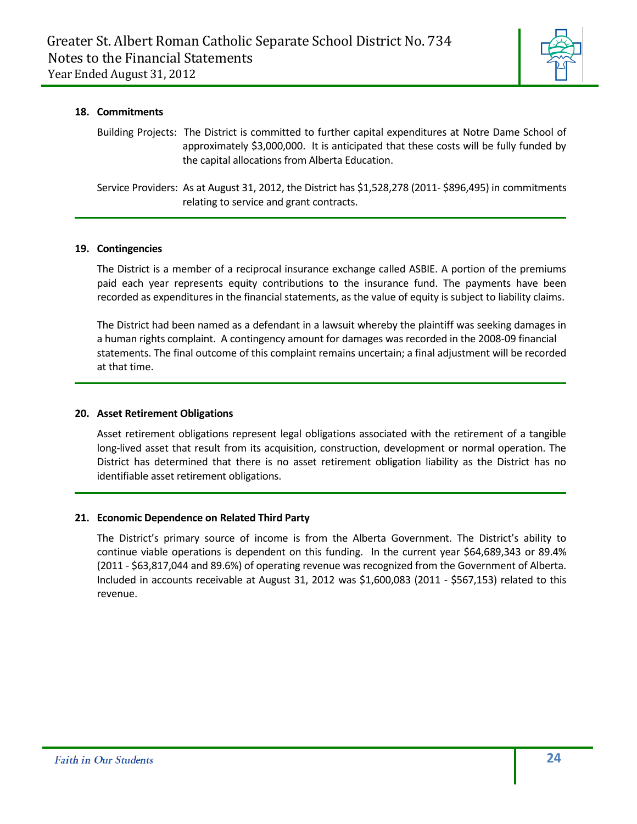

#### **18. Commitments**

Building Projects: The District is committed to further capital expenditures at Notre Dame School of approximately \$3,000,000. It is anticipated that these costs will be fully funded by the capital allocations from Alberta Education.

Service Providers: As at August 31, 2012, the District has \$1,528,278 (2011- \$896,495) in commitments relating to service and grant contracts.

#### **19. Contingencies**

The District is a member of a reciprocal insurance exchange called ASBIE. A portion of the premiums paid each year represents equity contributions to the insurance fund. The payments have been recorded as expenditures in the financial statements, as the value of equity is subject to liability claims.

The District had been named as a defendant in a lawsuit whereby the plaintiff was seeking damages in a human rights complaint. A contingency amount for damages was recorded in the 2008-09 financial statements. The final outcome of this complaint remains uncertain; a final adjustment will be recorded at that time.

#### **20. Asset Retirement Obligations**

Asset retirement obligations represent legal obligations associated with the retirement of a tangible long-lived asset that result from its acquisition, construction, development or normal operation. The District has determined that there is no asset retirement obligation liability as the District has no identifiable asset retirement obligations.

#### **21. Economic Dependence on Related Third Party**

The District's primary source of income is from the Alberta Government. The District's ability to continue viable operations is dependent on this funding. In the current year \$64,689,343 or 89.4% (2011 - \$63,817,044 and 89.6%) of operating revenue was recognized from the Government of Alberta. Included in accounts receivable at August 31, 2012 was \$1,600,083 (2011 - \$567,153) related to this revenue.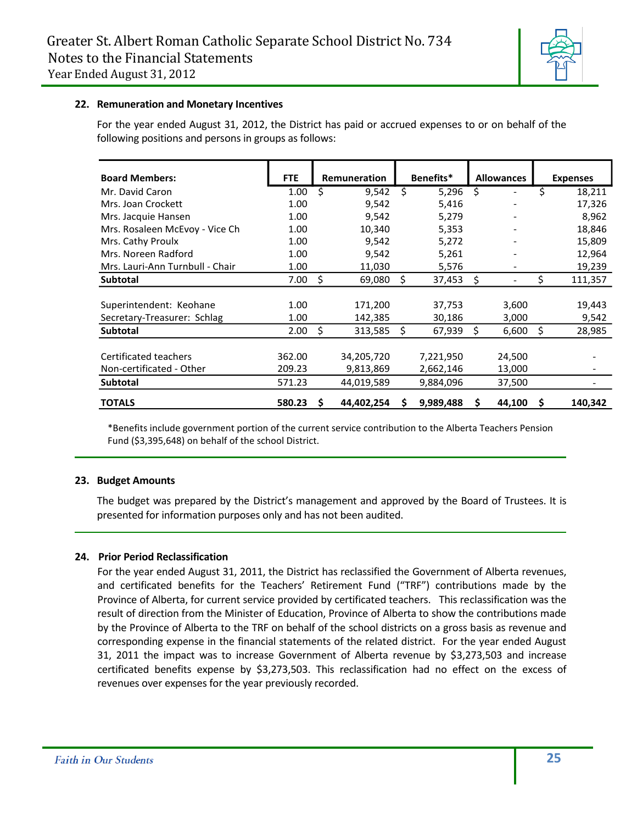

#### **22. Remuneration and Monetary Incentives**

For the year ended August 31, 2012, the District has paid or accrued expenses to or on behalf of the following positions and persons in groups as follows:

| <b>Board Members:</b>           | <b>FTE</b> |    | Remuneration |    | Benefits* |    | <b>Allowances</b> |    | <b>Expenses</b> |
|---------------------------------|------------|----|--------------|----|-----------|----|-------------------|----|-----------------|
| Mr. David Caron                 | 1.00       | Ś  | 9,542        | Ŝ. | 5,296     | \$ |                   | \$ | 18,211          |
| Mrs. Joan Crockett              | 1.00       |    | 9,542        |    | 5,416     |    |                   |    | 17,326          |
| Mrs. Jacquie Hansen             | 1.00       |    | 9,542        |    | 5,279     |    |                   |    | 8,962           |
| Mrs. Rosaleen McEvoy - Vice Ch  | 1.00       |    | 10,340       |    | 5,353     |    |                   |    | 18,846          |
| Mrs. Cathy Proulx               | 1.00       |    | 9,542        |    | 5,272     |    |                   |    | 15,809          |
| Mrs. Noreen Radford             | 1.00       |    | 9,542        |    | 5,261     |    |                   |    | 12,964          |
| Mrs. Lauri-Ann Turnbull - Chair | 1.00       |    | 11,030       |    | 5,576     |    |                   |    | 19,239          |
| <b>Subtotal</b>                 | 7.00       | \$ | 69,080       | Ś  | 37,453    | \$ |                   | \$ | 111,357         |
|                                 |            |    |              |    |           |    |                   |    |                 |
| Superintendent: Keohane         | 1.00       |    | 171,200      |    | 37,753    |    | 3,600             |    | 19,443          |
| Secretary-Treasurer: Schlag     | 1.00       |    | 142,385      |    | 30,186    |    | 3,000             |    | 9,542           |
| <b>Subtotal</b>                 | 2.00       | \$ | 313,585      | Ŝ. | 67,939    | Ś  | 6,600             | \$ | 28,985          |
|                                 |            |    |              |    |           |    |                   |    |                 |
| Certificated teachers           | 362.00     |    | 34,205,720   |    | 7,221,950 |    | 24,500            |    |                 |
| Non-certificated - Other        | 209.23     |    | 9,813,869    |    | 2,662,146 |    | 13,000            |    |                 |
| <b>Subtotal</b>                 | 571.23     |    | 44,019,589   |    | 9,884,096 |    | 37,500            |    |                 |
| <b>TOTALS</b>                   | 580.23     | S  | 44,402,254   | s  | 9,989,488 | s  | 44,100            | S  | 140,342         |

\*Benefits include government portion of the current service contribution to the Alberta Teachers Pension Fund (\$3,395,648) on behalf of the school District.

#### **23. Budget Amounts**

The budget was prepared by the District's management and approved by the Board of Trustees. It is presented for information purposes only and has not been audited.

#### **24. Prior Period Reclassification**

For the year ended August 31, 2011, the District has reclassified the Government of Alberta revenues, and certificated benefits for the Teachers' Retirement Fund ("TRF") contributions made by the Province of Alberta, for current service provided by certificated teachers. This reclassification was the result of direction from the Minister of Education, Province of Alberta to show the contributions made by the Province of Alberta to the TRF on behalf of the school districts on a gross basis as revenue and corresponding expense in the financial statements of the related district. For the year ended August 31, 2011 the impact was to increase Government of Alberta revenue by \$3,273,503 and increase certificated benefits expense by \$3,273,503. This reclassification had no effect on the excess of revenues over expenses for the year previously recorded.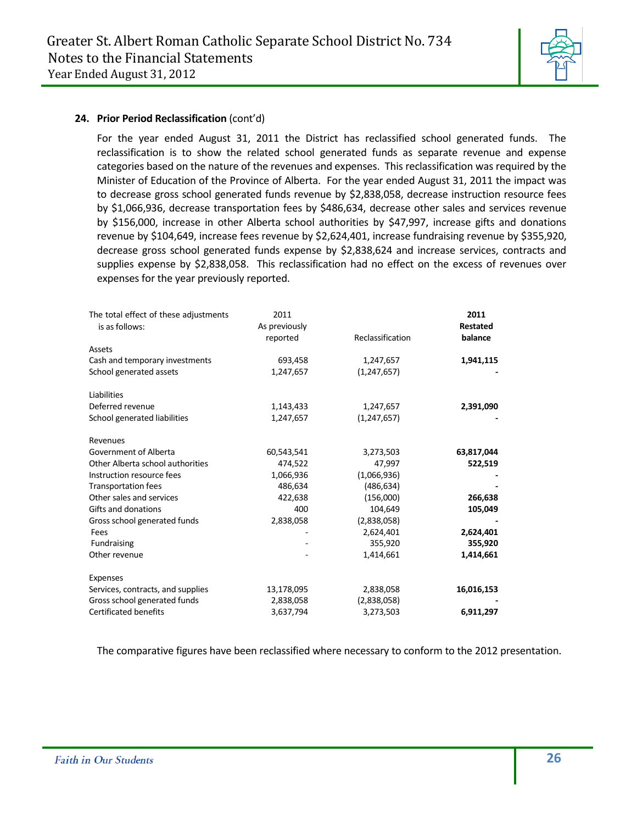

#### **24. Prior Period Reclassification** (cont'd)

For the year ended August 31, 2011 the District has reclassified school generated funds. The reclassification is to show the related school generated funds as separate revenue and expense categories based on the nature of the revenues and expenses. This reclassification was required by the Minister of Education of the Province of Alberta. For the year ended August 31, 2011 the impact was to decrease gross school generated funds revenue by \$2,838,058, decrease instruction resource fees by \$1,066,936, decrease transportation fees by \$486,634, decrease other sales and services revenue by \$156,000, increase in other Alberta school authorities by \$47,997, increase gifts and donations revenue by \$104,649, increase fees revenue by \$2,624,401, increase fundraising revenue by \$355,920, decrease gross school generated funds expense by \$2,838,624 and increase services, contracts and supplies expense by \$2,838,058. This reclassification had no effect on the excess of revenues over expenses for the year previously reported.

| The total effect of these adjustments<br>is as follows: | 2011<br>As previously<br>reported | Reclassification | 2011<br><b>Restated</b><br>balance |
|---------------------------------------------------------|-----------------------------------|------------------|------------------------------------|
| Assets                                                  |                                   |                  |                                    |
| Cash and temporary investments                          | 693,458                           | 1,247,657        | 1,941,115                          |
| School generated assets                                 | 1,247,657                         | (1, 247, 657)    |                                    |
| Liabilities                                             |                                   |                  |                                    |
| Deferred revenue                                        | 1,143,433                         | 1,247,657        | 2,391,090                          |
| School generated liabilities                            | 1,247,657                         | (1, 247, 657)    |                                    |
| Revenues                                                |                                   |                  |                                    |
| Government of Alberta                                   | 60,543,541                        | 3,273,503        | 63,817,044                         |
| Other Alberta school authorities                        | 474,522                           | 47,997           | 522,519                            |
| Instruction resource fees                               | 1,066,936                         | (1,066,936)      |                                    |
| <b>Transportation fees</b>                              | 486,634                           | (486, 634)       |                                    |
| Other sales and services                                | 422,638                           | (156,000)        | 266,638                            |
| Gifts and donations                                     | 400                               | 104,649          | 105,049                            |
| Gross school generated funds                            | 2,838,058                         | (2,838,058)      |                                    |
| Fees                                                    |                                   | 2,624,401        | 2,624,401                          |
| Fundraising                                             |                                   | 355,920          | 355,920                            |
| Other revenue                                           |                                   | 1,414,661        | 1,414,661                          |
| Expenses                                                |                                   |                  |                                    |
| Services, contracts, and supplies                       | 13,178,095                        | 2,838,058        | 16,016,153                         |
| Gross school generated funds                            | 2,838,058                         | (2,838,058)      |                                    |
| <b>Certificated benefits</b>                            | 3,637,794                         | 3,273,503        | 6,911,297                          |

The comparative figures have been reclassified where necessary to conform to the 2012 presentation.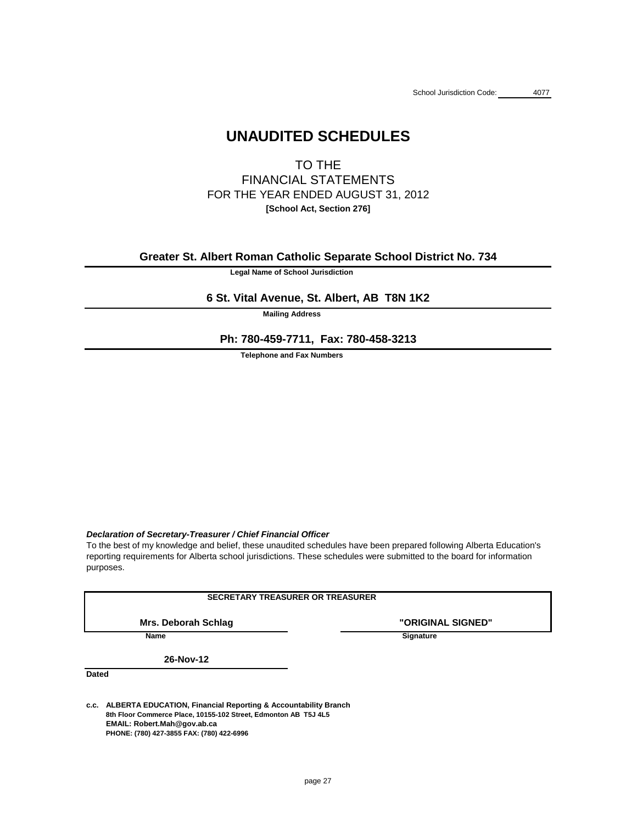# **UNAUDITED SCHEDULES**

TO THE FINANCIAL STATEMENTS FOR THE YEAR ENDED AUGUST 31, 2012 **[School Act, Section 276]**

**Legal Name of School Jurisdiction**

**Mailing Address**

**Telephone and Fax Numbers**

### *Declaration of Secretary-Treasurer / Chief Financial Officer*

**"ORIGINAL SIGNED"**

**Name** Signature

**Dated**

**c.c. ALBERTA EDUCATION, Financial Reporting & Accountability Branch 8th Floor Commerce Place, 10155-102 Street, Edmonton AB T5J 4L5 EMAIL: Robert.Mah@gov.ab.ca PHONE: (780) 427-3855 FAX: (780) 422-6996**

reporting requirements for Alberta school jurisdictions. These schedules were submitted to the board for information To the best of my knowledge and belief, these unaudited schedules have been prepared following Alberta Education's

purposes.

### **SECRETARY TREASURER OR TREASURER**

**Mrs. Deborah Schlag**

**26-Nov-12**

**Greater St. Albert Roman Catholic Separate School District No. 734**

## **6 St. Vital Avenue, St. Albert, AB T8N 1K2**

**Ph: 780-459-7711, Fax: 780-458-3213**

page 27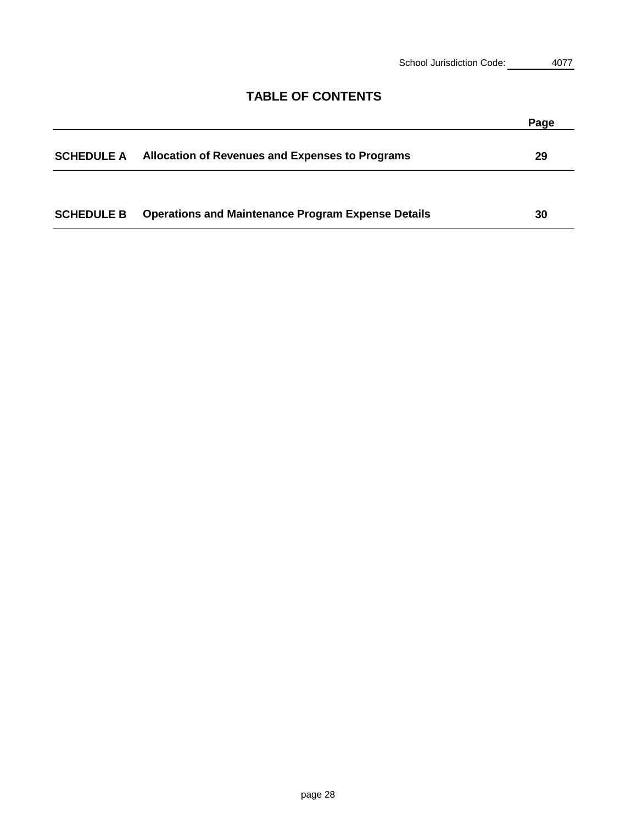| 4077 |
|------|
|      |

## **TABLE OF CONTENTS**

|                   |                                                           | Page |
|-------------------|-----------------------------------------------------------|------|
| <b>SCHEDULE A</b> | <b>Allocation of Revenues and Expenses to Programs</b>    | 29   |
|                   |                                                           |      |
| <b>SCHEDULE B</b> | <b>Operations and Maintenance Program Expense Details</b> | 30   |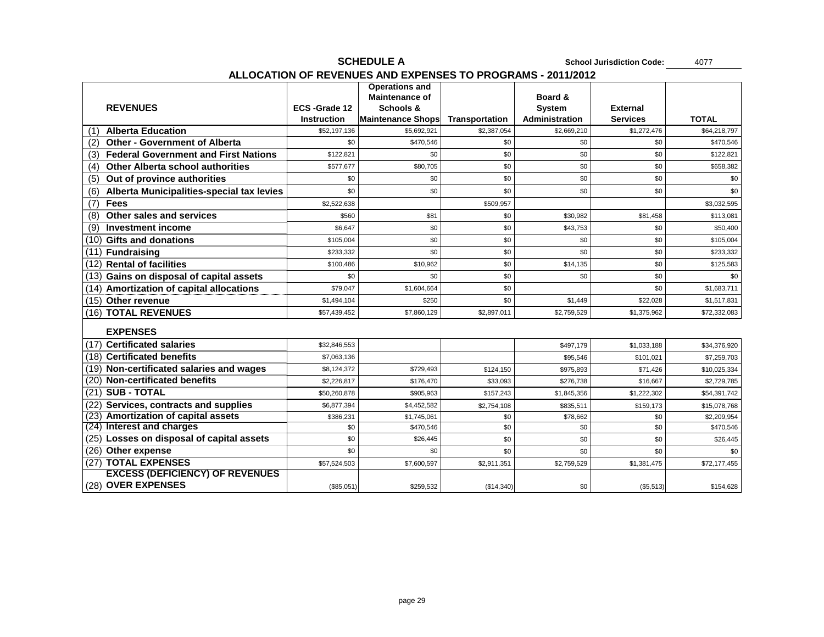# **SCHEDULE A School Jurisdiction Code:** 4077 **ALLOCATION OF REVENUES AND EXPENSES TO PROGRAMS - 2011/2012**

|     |                                                  |                    | <b>Operations and</b><br><b>Maintenance of</b> |                       | <b>Board &amp;</b>    |                 |              |
|-----|--------------------------------------------------|--------------------|------------------------------------------------|-----------------------|-----------------------|-----------------|--------------|
|     | <b>REVENUES</b>                                  | ECS-Grade 12       | <b>Schools &amp;</b>                           |                       | <b>System</b>         | <b>External</b> |              |
|     |                                                  | <b>Instruction</b> | <b>Maintenance Shops</b>                       | <b>Transportation</b> | <b>Administration</b> | <b>Services</b> | <b>TOTAL</b> |
| (1) | <b>Alberta Education</b>                         | \$52,197,136       | \$5,692,921                                    | \$2,387,054           | \$2,669,210           | \$1,272,476     | \$64,218,797 |
| (2) | <b>Other - Government of Alberta</b>             | \$0                | \$470,546                                      | \$0                   | \$0                   | \$0             | \$470,546    |
| (3) | <b>Federal Government and First Nations</b>      | \$122,821          | \$0                                            | \$0                   | \$0                   | \$0             | \$122,821    |
| (4) | <b>Other Alberta school authorities</b>          | \$577,677          | \$80,705                                       | \$0                   | \$0                   | \$0             | \$658,382    |
| (5) | Out of province authorities                      | \$0                | \$0                                            | \$0                   | \$0                   | \$0             | \$0          |
| (6) | <b>Alberta Municipalities-special tax levies</b> | \$0                | \$0                                            | \$0                   | \$0                   | \$0             | \$0          |
| (7) | <b>Fees</b>                                      | \$2,522,638        |                                                | \$509,957             |                       |                 | \$3,032,595  |
| (8) | <b>Other sales and services</b>                  | \$560              | \$81                                           | \$0                   | \$30,982              | \$81,458        | \$113,081    |
| (9) | <b>Investment income</b>                         | \$6,647            | \$0                                            | \$0                   | \$43,753              | \$0             | \$50,400     |
|     | $(10)$ Gifts and donations                       | \$105,004          | \$0                                            | \$0                   | \$0                   | \$0             | \$105,004    |
|     | (11) Fundraising                                 | \$233,332          | \$0                                            | \$0                   | \$0                   | \$0             | \$233,332    |
|     | (12) Rental of facilities                        | \$100,486          | \$10,962                                       | \$0                   | \$14,135              | \$0             | \$125,583    |
|     | $(13)$ Gains on disposal of capital assets       | \$0                | \$0                                            | \$0                   | \$0                   | \$0             | \$0          |
|     | $(14)$ Amortization of capital allocations       | \$79,047           | \$1,604,664                                    | \$0                   |                       | \$0             | \$1,683,711  |
|     | $(15)$ Other revenue                             | \$1,494,104        | \$250                                          | \$0                   | \$1,449               | \$22,028        | \$1,517,831  |
|     | (16) TOTAL REVENUES                              | \$57,439,452       | \$7,860,129                                    | \$2,897,011           | \$2,759,529           | \$1,375,962     | \$72,332,083 |
|     | <b>EXPENSES</b>                                  |                    |                                                |                       |                       |                 |              |
|     | (17) Certificated salaries                       | \$32,846,553       |                                                |                       | \$497,179             | \$1,033,188     | \$34,376,920 |
|     | (18) Certificated benefits                       | \$7.063.136        |                                                |                       | \$95,546              | \$101021        | \$7 259 703  |

| <b>Certificated salaries</b>              | \$32,846,553 |             |             | \$497,179   | \$1,033,188      | \$34,376,920 |
|-------------------------------------------|--------------|-------------|-------------|-------------|------------------|--------------|
| (18) Certificated benefits                | \$7,063,136  |             |             | \$95,546    | \$101,021        | \$7,259,703  |
| (19) Non-certificated salaries and wages  | \$8,124,372  | \$729,493   | \$124,150   | \$975,893   | \$71,426         | \$10,025,334 |
| (20) Non-certificated benefits            | \$2,226,817  | \$176,470   | \$33,093    | \$276,738   | \$16,667         | \$2,729,785  |
| $(21)$ SUB - TOTAL                        | \$50,260,878 | \$905,963   | \$157,243   | \$1,845,356 | \$1,222,302      | \$54,391,742 |
| (22) Services, contracts and supplies     | \$6,877,394  | \$4,452,582 | \$2,754,108 | \$835,511   | \$159,173        | \$15,078,768 |
| (23) Amortization of capital assets       | \$386,231    | \$1,745,061 | \$0         | \$78,662    | \$0              | \$2,209,954  |
| $(24)$ Interest and charges               | \$0          | \$470,546   | \$0         | \$0         | \$0              | \$470,546    |
| (25) Losses on disposal of capital assets | \$0          | \$26,445    | \$0         | \$0         | \$0              | \$26,445     |
| <b>Other expense</b><br>(26)              | \$0          | \$0         | \$0         | \$0         | \$0              | \$0          |
| <b>TOTAL EXPENSES</b><br>(27)             | \$57,524,503 | \$7,600,597 | \$2,911,351 | \$2,759,529 | \$1,381,475      | \$72,177,455 |
| <b>EXCESS (DEFICIENCY) OF REVENUES</b>    |              |             |             |             |                  |              |
| (28) OVER EXPENSES                        | (\$85,051)   | \$259,532   | (\$14,340)  | \$0         | $($ \$5,513) $ $ | \$154,628    |